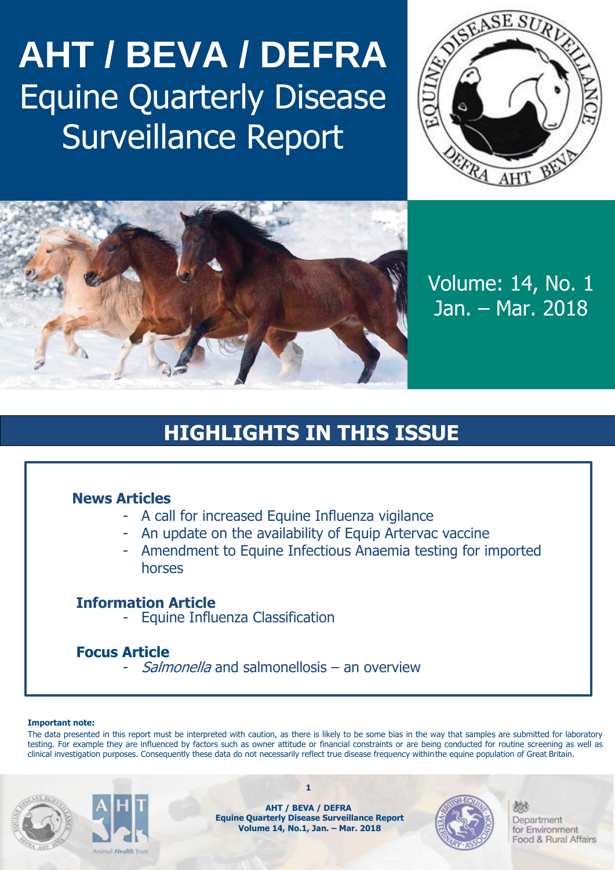# **AHT / BEVA / DEFRA** Equine Quarterly Disease Surveillance Report





Volume: 14, No. 1 Jan. – Mar. 2018

# **HIGHLIGHTS IN THIS ISSUE**

### **News Articles**

- A call for increased Equine Influenza vigilance
- An update on the availability of Equip Artervac vaccine
- Amendment to Equine Infectious Anaemia testing for imported horses

### **Information Article**

- Equine Influenza Classification

## **Focus Article**

- Salmonella and salmonellosis – an overview

#### **Important note:**

The data presented in this report must be interpreted with caution, as there is likely to be some bias in the way that samples are submitted for laboratory testing. For example they are influenced by factors such as owner attitude or financial constraints or are being conducted for routine screening as well as clinical investigation purposes. Consequently these data do not necessarily reflect true disease frequency withinthe equine population of Great Britain.





**AHT / BEVA / DEFRA Equine Quarterly Disease Surveillance Report Volume 14, No.1, Jan. – Mar. 2018**

**1**

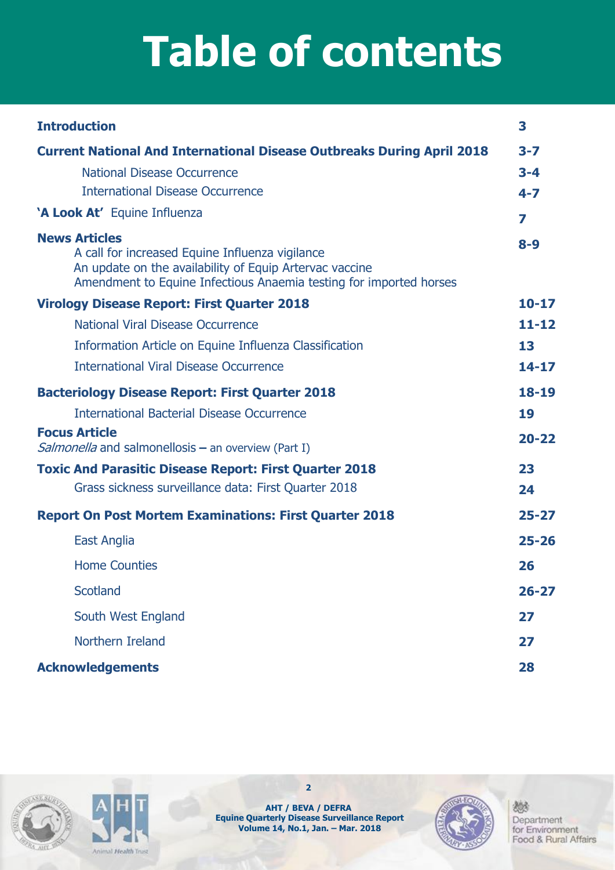# **Table of contents**

| <b>Introduction</b>                                                                                                                                                                                      | 3         |
|----------------------------------------------------------------------------------------------------------------------------------------------------------------------------------------------------------|-----------|
| <b>Current National And International Disease Outbreaks During April 2018</b>                                                                                                                            | $3 - 7$   |
| <b>National Disease Occurrence</b>                                                                                                                                                                       | $3 - 4$   |
| <b>International Disease Occurrence</b>                                                                                                                                                                  | $4 - 7$   |
| 'A Look At' Equine Influenza                                                                                                                                                                             | 7         |
| <b>News Articles</b><br>A call for increased Equine Influenza vigilance<br>An update on the availability of Equip Artervac vaccine<br>Amendment to Equine Infectious Anaemia testing for imported horses | $8 - 9$   |
| <b>Virology Disease Report: First Quarter 2018</b>                                                                                                                                                       | $10 - 17$ |
| National Viral Disease Occurrence                                                                                                                                                                        | $11 - 12$ |
| Information Article on Equine Influenza Classification                                                                                                                                                   | 13        |
| <b>International Viral Disease Occurrence</b>                                                                                                                                                            | $14 - 17$ |
| <b>Bacteriology Disease Report: First Quarter 2018</b>                                                                                                                                                   | $18 - 19$ |
| <b>International Bacterial Disease Occurrence</b>                                                                                                                                                        | 19        |
| <b>Focus Article</b><br><i>Salmonella</i> and salmonellosis $-$ an overview (Part I)                                                                                                                     | $20 - 22$ |
| <b>Toxic And Parasitic Disease Report: First Quarter 2018</b>                                                                                                                                            | 23        |
| Grass sickness surveillance data: First Quarter 2018                                                                                                                                                     | 24        |
| <b>Report On Post Mortem Examinations: First Quarter 2018</b>                                                                                                                                            | $25 - 27$ |
| East Anglia                                                                                                                                                                                              | $25 - 26$ |
| <b>Home Counties</b>                                                                                                                                                                                     | 26        |
| <b>Scotland</b>                                                                                                                                                                                          | $26 - 27$ |
| South West England                                                                                                                                                                                       | 27        |
| Northern Ireland                                                                                                                                                                                         | 27        |
| <b>Acknowledgements</b>                                                                                                                                                                                  | 28        |





**AHT / BEVA / DEFRA Equine Quarterly Disease Surveillance Report Volume 14, No.1, Jan. – Mar. 2018**

**2**

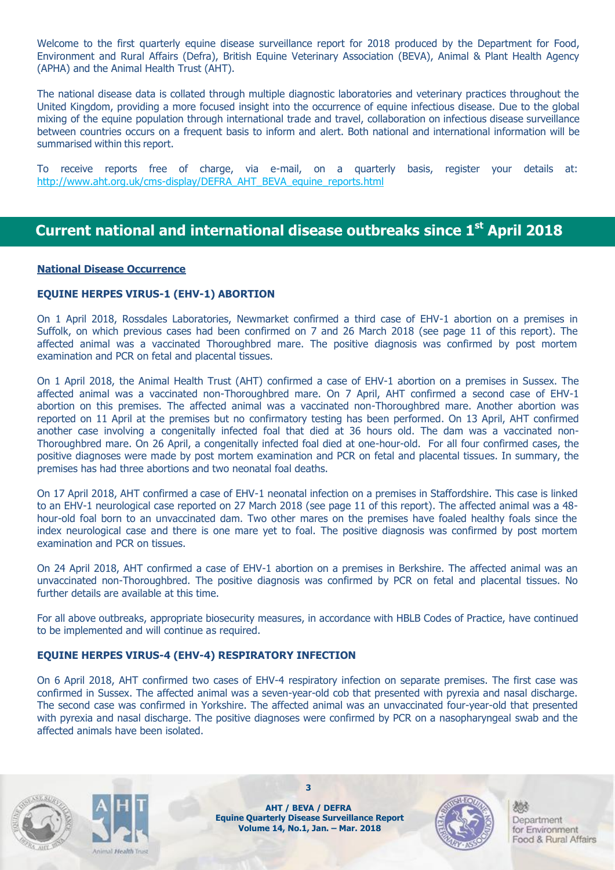Welcome to the first quarterly equine disease surveillance report for 2018 produced by the Department for Food, Environment and Rural Affairs (Defra), British Equine Veterinary Association (BEVA), Animal & Plant Health Agency (APHA) and the Animal Health Trust (AHT).

The national disease data is collated through multiple diagnostic laboratories and veterinary practices throughout the United Kingdom, providing a more focused insight into the occurrence of equine infectious disease. Due to the global mixing of the equine population through international trade and travel, collaboration on infectious disease surveillance between countries occurs on a frequent basis to inform and alert. Both national and international information will be summarised within this report.

To receive reports free of charge, via e-mail, on a quarterly basis, register your details at: [http://www.aht.org.uk/cms-display/DEFRA\\_AHT\\_BEVA\\_equine\\_reports.html](http://www.aht.org.uk/cms-display/DEFRA_AHT_BEVA_equine_reports.html)

### **Current national and international disease outbreaks since 1 st April 2018**

#### **National Disease Occurrence**

#### **EQUINE HERPES VIRUS-1 (EHV-1) ABORTION**

On 1 April 2018, Rossdales Laboratories, Newmarket confirmed a third case of EHV-1 abortion on a premises in Suffolk, on which previous cases had been confirmed on 7 and 26 March 2018 (see page 11 of this report). The affected animal was a vaccinated Thoroughbred mare. The positive diagnosis was confirmed by post mortem examination and PCR on fetal and placental tissues.

On 1 April 2018, the Animal Health Trust (AHT) confirmed a case of EHV-1 abortion on a premises in Sussex. The affected animal was a vaccinated non-Thoroughbred mare. On 7 April, AHT confirmed a second case of EHV-1 abortion on this premises. The affected animal was a vaccinated non-Thoroughbred mare. Another abortion was reported on 11 April at the premises but no confirmatory testing has been performed. On 13 April, AHT confirmed another case involving a congenitally infected foal that died at 36 hours old. The dam was a vaccinated non-Thoroughbred mare. On 26 April, a congenitally infected foal died at one-hour-old. For all four confirmed cases, the positive diagnoses were made by post mortem examination and PCR on fetal and placental tissues. In summary, the premises has had three abortions and two neonatal foal deaths.

On 17 April 2018, AHT confirmed a case of EHV-1 neonatal infection on a premises in Staffordshire. This case is linked to an EHV-1 neurological case reported on 27 March 2018 (see page 11 of this report). The affected animal was a 48 hour-old foal born to an unvaccinated dam. Two other mares on the premises have foaled healthy foals since the index neurological case and there is one mare yet to foal. The positive diagnosis was confirmed by post mortem examination and PCR on tissues.

On 24 April 2018, AHT confirmed a case of EHV-1 abortion on a premises in Berkshire. The affected animal was an unvaccinated non-Thoroughbred. The positive diagnosis was confirmed by PCR on fetal and placental tissues. No further details are available at this time.

For all above outbreaks, appropriate biosecurity measures, in accordance with HBLB Codes of Practice, have continued to be implemented and will continue as required.

#### **EQUINE HERPES VIRUS-4 (EHV-4) RESPIRATORY INFECTION**

On 6 April 2018, AHT confirmed two cases of EHV-4 respiratory infection on separate premises. The first case was confirmed in Sussex. The affected animal was a seven-year-old cob that presented with pyrexia and nasal discharge. The second case was confirmed in Yorkshire. The affected animal was an unvaccinated four-year-old that presented with pyrexia and nasal discharge. The positive diagnoses were confirmed by PCR on a nasopharyngeal swab and the affected animals have been isolated.





**AHT / BEVA / DEFRA Equine Quarterly Disease Surveillance Report Volume 14, No.1, Jan. – Mar. 2018**

**3**

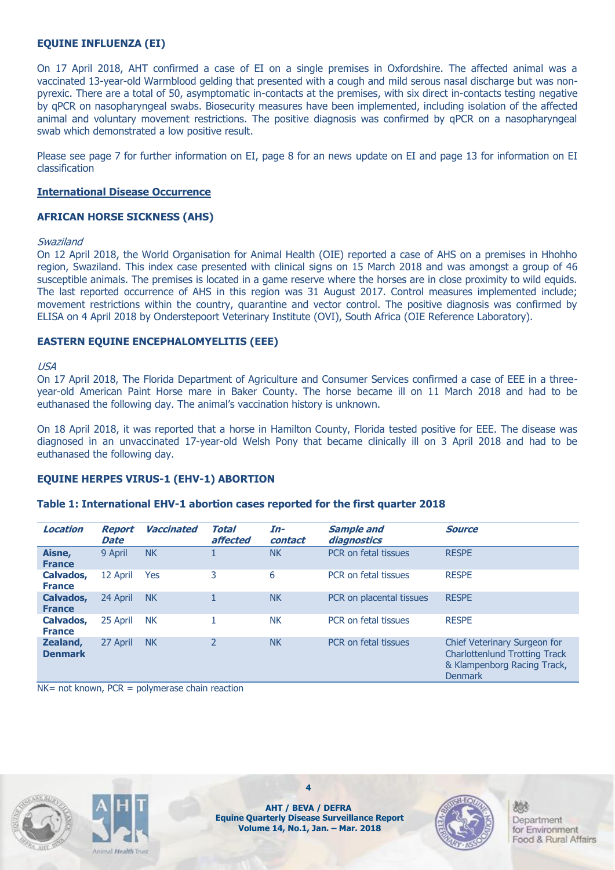#### **EQUINE INFLUENZA (EI)**

On 17 April 2018, AHT confirmed a case of EI on a single premises in Oxfordshire. The affected animal was a vaccinated 13-year-old Warmblood gelding that presented with a cough and mild serous nasal discharge but was nonpyrexic. There are a total of 50, asymptomatic in-contacts at the premises, with six direct in-contacts testing negative by qPCR on nasopharyngeal swabs. Biosecurity measures have been implemented, including isolation of the affected animal and voluntary movement restrictions. The positive diagnosis was confirmed by qPCR on a nasopharyngeal swab which demonstrated a low positive result.

Please see page 7 for further information on EI, page 8 for an news update on EI and page 13 for information on EI classification

#### **International Disease Occurrence**

#### **AFRICAN HORSE SICKNESS (AHS)**

#### Swaziland

On 12 April 2018, the World Organisation for Animal Health (OIE) reported a case of AHS on a premises in Hhohho region, Swaziland. This index case presented with clinical signs on 15 March 2018 and was amongst a group of 46 susceptible animals. The premises is located in a game reserve where the horses are in close proximity to wild equids. The last reported occurrence of AHS in this region was 31 August 2017. Control measures implemented include; movement restrictions within the country, quarantine and vector control. The positive diagnosis was confirmed by ELISA on 4 April 2018 by Onderstepoort Veterinary Institute (OVI), South Africa (OIE Reference Laboratory).

#### **EASTERN EQUINE ENCEPHALOMYELITIS (EEE)**

#### USA

On 17 April 2018, The Florida Department of Agriculture and Consumer Services confirmed a case of EEE in a threeyear-old American Paint Horse mare in Baker County. The horse became ill on 11 March 2018 and had to be euthanased the following day. The animal's vaccination history is unknown.

On 18 April 2018, it was reported that a horse in Hamilton County, Florida tested positive for EEE. The disease was diagnosed in an unvaccinated 17-year-old Welsh Pony that became clinically ill on 3 April 2018 and had to be euthanased the following day.

#### **EQUINE HERPES VIRUS-1 (EHV-1) ABORTION**

#### **Table 1: International EHV-1 abortion cases reported for the first quarter 2018**

| <b>Location</b>            | <b>Report</b><br><b>Date</b> | <b>Vaccinated</b> | Total<br>affected | In-<br>contact | <b>Sample and</b><br>diagnostics | <b>Source</b>                                                                                                  |
|----------------------------|------------------------------|-------------------|-------------------|----------------|----------------------------------|----------------------------------------------------------------------------------------------------------------|
| Aisne,<br><b>France</b>    | 9 April                      | <b>NK</b>         |                   | <b>NK</b>      | PCR on fetal tissues             | <b>RESPE</b>                                                                                                   |
| Calvados,<br><b>France</b> | 12 April                     | Yes               | 3                 | 6              | PCR on fetal tissues             | <b>RESPE</b>                                                                                                   |
| Calvados,<br><b>France</b> | 24 April                     | <b>NK</b>         |                   | <b>NK</b>      | PCR on placental tissues         | <b>RESPE</b>                                                                                                   |
| Calvados,<br><b>France</b> | 25 April                     | <b>NK</b>         |                   | <b>NK</b>      | PCR on fetal tissues             | <b>RESPE</b>                                                                                                   |
| Zealand,<br><b>Denmark</b> | 27 April                     | <b>NK</b>         | $\overline{2}$    | <b>NK</b>      | PCR on fetal tissues             | Chief Veterinary Surgeon for<br><b>Charlottenlund Trotting Track</b><br>& Klampenborg Racing Track,<br>Denmark |

 $NK = not known$ ,  $PCR = polymerase chain reaction$ 



ast the state Trees

**AHT / BEVA / DEFRA Equine Quarterly Disease Surveillance Report Volume 14, No.1, Jan. – Mar. 2018**

**4**

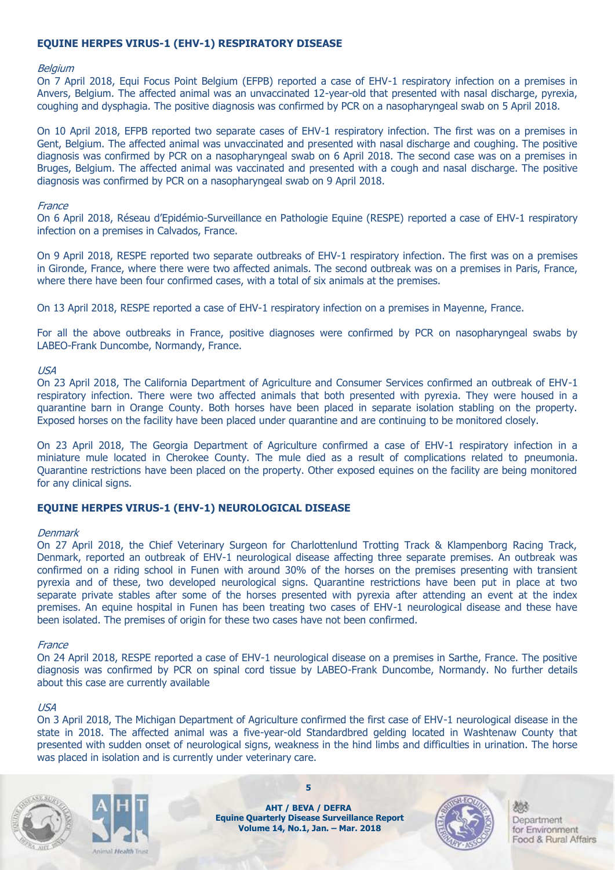#### **EQUINE HERPES VIRUS-1 (EHV-1) RESPIRATORY DISEASE**

#### **Belgium**

On 7 April 2018, Equi Focus Point Belgium (EFPB) reported a case of EHV-1 respiratory infection on a premises in Anvers, Belgium. The affected animal was an unvaccinated 12-year-old that presented with nasal discharge, pyrexia, coughing and dysphagia. The positive diagnosis was confirmed by PCR on a nasopharyngeal swab on 5 April 2018.

On 10 April 2018, EFPB reported two separate cases of EHV-1 respiratory infection. The first was on a premises in Gent, Belgium. The affected animal was unvaccinated and presented with nasal discharge and coughing. The positive diagnosis was confirmed by PCR on a nasopharyngeal swab on 6 April 2018. The second case was on a premises in Bruges, Belgium. The affected animal was vaccinated and presented with a cough and nasal discharge. The positive diagnosis was confirmed by PCR on a nasopharyngeal swab on 9 April 2018.

#### **France**

On 6 April 2018, Réseau d'Epidémio-Surveillance en Pathologie Equine (RESPE) reported a case of EHV-1 respiratory infection on a premises in Calvados, France.

On 9 April 2018, RESPE reported two separate outbreaks of EHV-1 respiratory infection. The first was on a premises in Gironde, France, where there were two affected animals. The second outbreak was on a premises in Paris, France, where there have been four confirmed cases, with a total of six animals at the premises.

On 13 April 2018, RESPE reported a case of EHV-1 respiratory infection on a premises in Mayenne, France.

For all the above outbreaks in France, positive diagnoses were confirmed by PCR on nasopharyngeal swabs by LABEO-Frank Duncombe, Normandy, France.

#### USA

On 23 April 2018, The California Department of Agriculture and Consumer Services confirmed an outbreak of EHV-1 respiratory infection. There were two affected animals that both presented with pyrexia. They were housed in a quarantine barn in Orange County. Both horses have been placed in separate isolation stabling on the property. Exposed horses on the facility have been placed under quarantine and are continuing to be monitored closely.

On 23 April 2018, The Georgia Department of Agriculture confirmed a case of EHV-1 respiratory infection in a miniature mule located in Cherokee County. The mule died as a result of complications related to pneumonia. Quarantine restrictions have been placed on the property. Other exposed equines on the facility are being monitored for any clinical signs.

#### **EQUINE HERPES VIRUS-1 (EHV-1) NEUROLOGICAL DISEASE**

#### **Denmark**

On 27 April 2018, the Chief Veterinary Surgeon for Charlottenlund Trotting Track & Klampenborg Racing Track, Denmark, reported an outbreak of EHV-1 neurological disease affecting three separate premises. An outbreak was confirmed on a riding school in Funen with around 30% of the horses on the premises presenting with transient pyrexia and of these, two developed neurological signs. Quarantine restrictions have been put in place at two separate private stables after some of the horses presented with pyrexia after attending an event at the index premises. An equine hospital in Funen has been treating two cases of EHV-1 neurological disease and these have been isolated. The premises of origin for these two cases have not been confirmed.

#### **France**

On 24 April 2018, RESPE reported a case of EHV-1 neurological disease on a premises in Sarthe, France. The positive diagnosis was confirmed by PCR on spinal cord tissue by LABEO-Frank Duncombe, Normandy. No further details about this case are currently available

#### USA

On 3 April 2018, The Michigan Department of Agriculture confirmed the first case of EHV-1 neurological disease in the state in 2018. The affected animal was a five-year-old Standardbred gelding located in Washtenaw County that presented with sudden onset of neurological signs, weakness in the hind limbs and difficulties in urination. The horse was placed in isolation and is currently under veterinary care.





**AHT / BEVA / DEFRA Equine Quarterly Disease Surveillance Report Volume 14, No.1, Jan. – Mar. 2018**

**5**

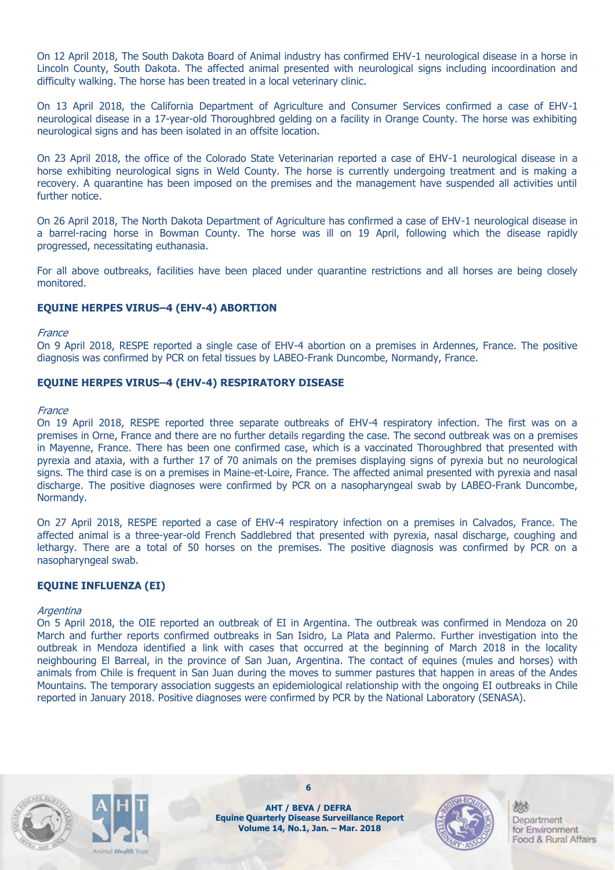On 12 April 2018, The South Dakota Board of Animal industry has confirmed EHV-1 neurological disease in a horse in Lincoln County, South Dakota. The affected animal presented with neurological signs including incoordination and difficulty walking. The horse has been treated in a local veterinary clinic.

On 13 April 2018, the California Department of Agriculture and Consumer Services confirmed a case of EHV-1 neurological disease in a 17-year-old Thoroughbred gelding on a facility in Orange County. The horse was exhibiting neurological signs and has been isolated in an offsite location.

On 23 April 2018, the office of the Colorado State Veterinarian reported a case of EHV-1 neurological disease in a horse exhibiting neurological signs in Weld County. The horse is currently undergoing treatment and is making a recovery. A quarantine has been imposed on the premises and the management have suspended all activities until further notice.

On 26 April 2018, The North Dakota Department of Agriculture has confirmed a case of EHV-1 neurological disease in a barrel-racing horse in Bowman County. The horse was ill on 19 April, following which the disease rapidly progressed, necessitating euthanasia.

For all above outbreaks, facilities have been placed under quarantine restrictions and all horses are being closely monitored.

#### **EQUINE HERPES VIRUS–4 (EHV-4) ABORTION**

#### **France**

On 9 April 2018, RESPE reported a single case of EHV-4 abortion on a premises in Ardennes, France. The positive diagnosis was confirmed by PCR on fetal tissues by LABEO-Frank Duncombe, Normandy, France.

#### **EQUINE HERPES VIRUS–4 (EHV-4) RESPIRATORY DISEASE**

#### **France**

On 19 April 2018, RESPE reported three separate outbreaks of EHV-4 respiratory infection. The first was on a premises in Orne, France and there are no further details regarding the case. The second outbreak was on a premises in Mayenne, France. There has been one confirmed case, which is a vaccinated Thoroughbred that presented with pyrexia and ataxia, with a further 17 of 70 animals on the premises displaying signs of pyrexia but no neurological signs. The third case is on a premises in Maine-et-Loire, France. The affected animal presented with pyrexia and nasal discharge. The positive diagnoses were confirmed by PCR on a nasopharyngeal swab by LABEO-Frank Duncombe, Normandy.

On 27 April 2018, RESPE reported a case of EHV-4 respiratory infection on a premises in Calvados, France. The affected animal is a three-year-old French Saddlebred that presented with pyrexia, nasal discharge, coughing and lethargy. There are a total of 50 horses on the premises. The positive diagnosis was confirmed by PCR on a nasopharyngeal swab.

#### **EQUINE INFLUENZA (EI)**

#### **Argentina**

On 5 April 2018, the OIE reported an outbreak of EI in Argentina. The outbreak was confirmed in Mendoza on 20 March and further reports confirmed outbreaks in San Isidro, La Plata and Palermo. Further investigation into the outbreak in Mendoza identified a link with cases that occurred at the beginning of March 2018 in the locality neighbouring El Barreal, in the province of San Juan, Argentina. The contact of equines (mules and horses) with animals from Chile is frequent in San Juan during the moves to summer pastures that happen in areas of the Andes Mountains. The temporary association suggests an epidemiological relationship with the ongoing EI outbreaks in Chile reported in January 2018. Positive diagnoses were confirmed by PCR by the National Laboratory (SENASA).





**AHT / BEVA / DEFRA Equine Quarterly Disease Surveillance Report Volume 14, No.1, Jan. – Mar. 2018**

**6**

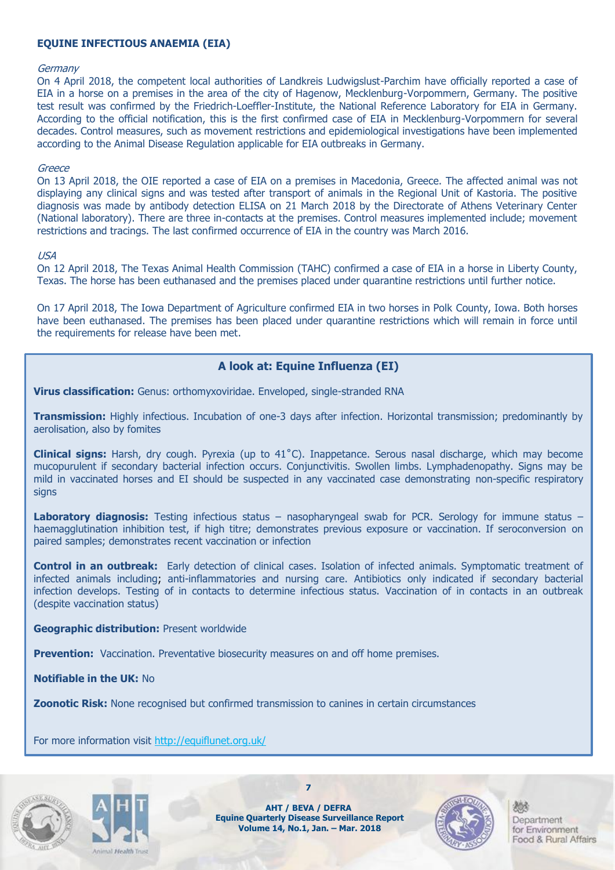#### **EQUINE INFECTIOUS ANAEMIA (EIA)**

#### **Germany**

On 4 April 2018, the competent local authorities of Landkreis Ludwigslust-Parchim have officially reported a case of EIA in a horse on a premises in the area of the city of Hagenow, Mecklenburg-Vorpommern, Germany. The positive test result was confirmed by the Friedrich-Loeffler-Institute, the National Reference Laboratory for EIA in Germany. According to the official notification, this is the first confirmed case of EIA in Mecklenburg-Vorpommern for several decades. Control measures, such as movement restrictions and epidemiological investigations have been implemented according to the Animal Disease Regulation applicable for EIA outbreaks in Germany.

#### Greece

On 13 April 2018, the OIE reported a case of EIA on a premises in Macedonia, Greece. The affected animal was not displaying any clinical signs and was tested after transport of animals in the Regional Unit of Kastoria. The positive diagnosis was made by antibody detection ELISA on 21 March 2018 by the Directorate of Athens Veterinary Center (National laboratory). There are three in-contacts at the premises. Control measures implemented include; movement restrictions and tracings. The last confirmed occurrence of EIA in the country was March 2016.

#### USA

On 12 April 2018, The Texas Animal Health Commission (TAHC) confirmed a case of EIA in a horse in Liberty County, Texas. The horse has been euthanased and the premises placed under quarantine restrictions until further notice.

On 17 April 2018, The Iowa Department of Agriculture confirmed EIA in two horses in Polk County, Iowa. Both horses have been euthanased. The premises has been placed under quarantine restrictions which will remain in force until the requirements for release have been met.

#### **A look at: Equine Influenza (EI)**

**Virus classification:** Genus: orthomyxoviridae. Enveloped, single-stranded RNA

**Transmission:** Highly infectious. Incubation of one-3 days after infection. Horizontal transmission; predominantly by aerolisation, also by fomites

**Clinical signs:** Harsh, dry cough. Pyrexia (up to 41˚C). Inappetance. Serous nasal discharge, which may become mucopurulent if secondary bacterial infection occurs. Conjunctivitis. Swollen limbs. Lymphadenopathy. Signs may be mild in vaccinated horses and EI should be suspected in any vaccinated case demonstrating non-specific respiratory signs

Laboratory diagnosis: Testing infectious status - nasopharyngeal swab for PCR. Serology for immune status haemagglutination inhibition test, if high titre; demonstrates previous exposure or vaccination. If seroconversion on paired samples; demonstrates recent vaccination or infection

**Control in an outbreak:** Early detection of clinical cases. Isolation of infected animals. Symptomatic treatment of infected animals including; anti-inflammatories and nursing care. Antibiotics only indicated if secondary bacterial infection develops. Testing of in contacts to determine infectious status. Vaccination of in contacts in an outbreak (despite vaccination status)

#### **Geographic distribution:** Present worldwide

**Prevention:** Vaccination. Preventative biosecurity measures on and off home premises.

**Notifiable in the UK:** No

**Zoonotic Risk:** None recognised but confirmed transmission to canines in certain circumstances

For more information visit <http://equiflunet.org.uk/>





**AHT / BEVA / DEFRA Equine Quarterly Disease Surveillance Report Volume 14, No.1, Jan. – Mar. 2018**

**7**

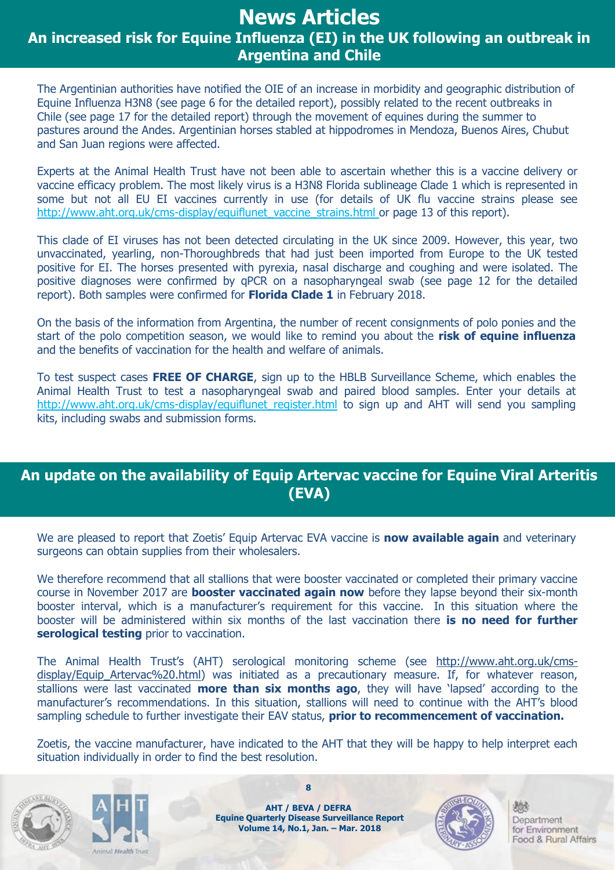# **News Articles**

**An increased risk for Equine Influenza (EI) in the UK following an outbreak in Argentina and Chile**

The Argentinian authorities have notified the OIE of an increase in morbidity and geographic distribution of Equine Influenza H3N8 (see page 6 for the detailed report), possibly related to the recent outbreaks in Chile (see page 17 for the detailed report) through the movement of equines during the summer to pastures around the Andes. Argentinian horses stabled at hippodromes in Mendoza, Buenos Aires, Chubut and San Juan regions were affected.

Experts at the Animal Health Trust have not been able to ascertain whether this is a vaccine delivery or vaccine efficacy problem. The most likely virus is a H3N8 Florida sublineage Clade 1 which is represented in some but not all EU EI vaccines currently in use (for details of UK flu vaccine strains please see http://www.aht.org.uk/cms-display/equiflunet vaccine strains.html or page 13 of this report).

This clade of EI viruses has not been detected circulating in the UK since 2009. However, this year, two unvaccinated, yearling, non-Thoroughbreds that had just been imported from Europe to the UK tested positive for EI. The horses presented with pyrexia, nasal discharge and coughing and were isolated. The positive diagnoses were confirmed by qPCR on a nasopharyngeal swab (see page 12 for the detailed report). Both samples were confirmed for **Florida Clade 1** in February 2018.

On the basis of the information from Argentina, the number of recent consignments of polo ponies and the start of the polo competition season, we would like to remind you about the **risk of equine influenza** and the benefits of vaccination for the health and welfare of animals.

To test suspect cases **FREE OF CHARGE**, sign up to the HBLB Surveillance Scheme, which enables the Animal Health Trust to test a nasopharyngeal swab and paired blood samples. Enter your details at http://www.aht.org.uk/cms-display/equiflunet register.html to sign up and AHT will send you sampling kits, including swabs and submission forms.

### **An update on the availability of Equip Artervac vaccine for Equine Viral Arteritis (EVA)**

We are pleased to report that Zoetis' Equip Artervac EVA vaccine is **now available again** and veterinary surgeons can obtain supplies from their wholesalers.

We therefore recommend that all stallions that were booster vaccinated or completed their primary vaccine course in November 2017 are **booster vaccinated again now** before they lapse beyond their six-month booster interval, which is a manufacturer's requirement for this vaccine. In this situation where the booster will be administered within six months of the last vaccination there **is no need for further serological testing** prior to vaccination.

The Animal Health Trust's (AHT) serological monitoring scheme (see [http://www.aht.org.uk/cms](http://www.aht.org.uk/cms-display/Equip_Artervac%20.html)display/Equip Artervac%20.html) was initiated as a precautionary measure. If, for whatever reason, stallions were last vaccinated **more than six months ago**, they will have 'lapsed' according to the manufacturer's recommendations. In this situation, stallions will need to continue with the AHT's blood sampling schedule to further investigate their EAV status, **prior to recommencement of vaccination.**

Zoetis, the vaccine manufacturer, have indicated to the AHT that they will be happy to help interpret each situation individually in order to find the best resolution.





**AHT / BEVA / DEFRA Equine Quarterly Disease Surveillance Report Volume 14, No.1, Jan. – Mar. 2018**

**8**

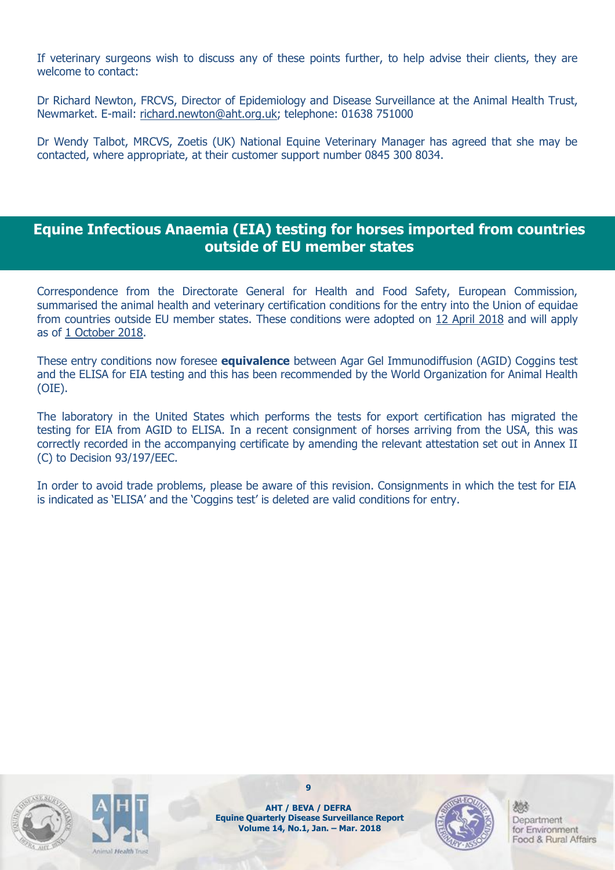If veterinary surgeons wish to discuss any of these points further, to help advise their clients, they are welcome to contact:

Dr Richard Newton, FRCVS, Director of Epidemiology and Disease Surveillance at the Animal Health Trust, Newmarket. E-mail: [richard.newton@aht.org.uk;](mailto:richard.newton@aht.org.uk) telephone: 01638 751000

Dr Wendy Talbot, MRCVS, Zoetis (UK) National Equine Veterinary Manager has agreed that she may be contacted, where appropriate, at their customer support number 0845 300 8034.

### **Equine Infectious Anaemia (EIA) testing for horses imported from countries outside of EU member states**

Correspondence from the Directorate General for Health and Food Safety, European Commission, summarised the animal health and veterinary certification conditions for the entry into the Union of equidae from countries outside EU member states. These conditions were adopted on 12 April 2018 and will apply as of 1 October 2018.

These entry conditions now foresee **equivalence** between Agar Gel Immunodiffusion (AGID) Coggins test and the ELISA for EIA testing and this has been recommended by the World Organization for Animal Health (OIE).

The laboratory in the United States which performs the tests for export certification has migrated the testing for EIA from AGID to ELISA. In a recent consignment of horses arriving from the USA, this was correctly recorded in the accompanying certificate by amending the relevant attestation set out in Annex II (C) to Decision 93/197/EEC.

In order to avoid trade problems, please be aware of this revision. Consignments in which the test for EIA is indicated as 'ELISA' and the 'Coggins test' is deleted are valid conditions for entry.





**9**

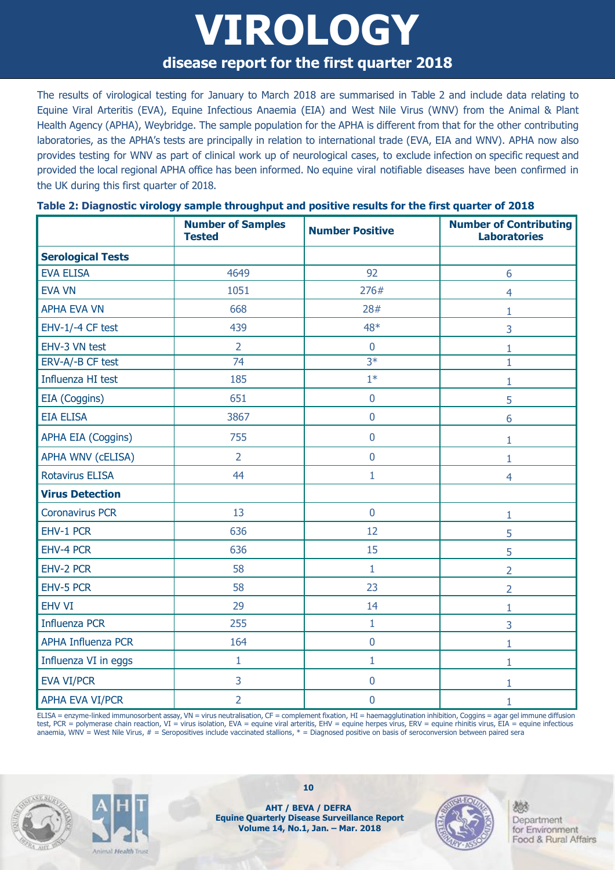# **VIROLOGY disease report for the first quarter 2018**

The results of virological testing for January to March 2018 are summarised in Table 2 and include data relating to Equine Viral Arteritis (EVA), Equine Infectious Anaemia (EIA) and West Nile Virus (WNV) from the Animal & Plant Health Agency (APHA), Weybridge. The sample population for the APHA is different from that for the other contributing laboratories, as the APHA's tests are principally in relation to international trade (EVA, EIA and WNV). APHA now also provides testing for WNV as part of clinical work up of neurological cases, to exclude infection on specific request and provided the local regional APHA office has been informed. No equine viral notifiable diseases have been confirmed in the UK during this first quarter of 2018.

|                           | <b>Number of Samples</b><br><b>Tested</b> | <b>Number Positive</b> | <b>Number of Contributing</b><br><b>Laboratories</b> |
|---------------------------|-------------------------------------------|------------------------|------------------------------------------------------|
| <b>Serological Tests</b>  |                                           |                        |                                                      |
| <b>EVA ELISA</b>          | 4649                                      | 92                     | 6                                                    |
| <b>EVA VN</b>             | 1051                                      | 276#                   | $\overline{4}$                                       |
| <b>APHA EVA VN</b>        | 668                                       | 28#                    | 1                                                    |
| EHV-1/-4 CF test          | 439                                       | 48*                    | 3                                                    |
| EHV-3 VN test             | $\overline{2}$                            | $\mathbf 0$            | 1                                                    |
| ERV-A/-B CF test          | $\overline{74}$                           | $\overline{3*}$        | $\mathbf{1}$                                         |
| Influenza HI test         | 185                                       | $1*$                   | 1                                                    |
| EIA (Coggins)             | 651                                       | $\bf 0$                | 5                                                    |
| <b>EIA ELISA</b>          | 3867                                      | $\mathbf 0$            | 6                                                    |
| <b>APHA EIA (Coggins)</b> | 755                                       | $\pmb{0}$              | 1                                                    |
| <b>APHA WNV (CELISA)</b>  | $\overline{2}$                            | $\overline{0}$         | 1                                                    |
| <b>Rotavirus ELISA</b>    | 44                                        | $\mathbf{1}$           | $\overline{4}$                                       |
| <b>Virus Detection</b>    |                                           |                        |                                                      |
| <b>Coronavirus PCR</b>    | 13                                        | $\mathbf 0$            | 1                                                    |
| EHV-1 PCR                 | 636                                       | 12                     | 5                                                    |
| EHV-4 PCR                 | 636                                       | 15                     | 5                                                    |
| EHV-2 PCR                 | 58                                        | $\mathbf{1}$           | $\overline{2}$                                       |
| EHV-5 PCR                 | 58                                        | 23                     | $\overline{2}$                                       |
| <b>EHV VI</b>             | 29                                        | 14                     | 1                                                    |
| <b>Influenza PCR</b>      | 255                                       | $\mathbf{1}$           | 3                                                    |
| <b>APHA Influenza PCR</b> | 164                                       | $\mathbf 0$            | 1                                                    |
| Influenza VI in eggs      | $\mathbf{1}$                              | $\mathbf{1}$           | 1                                                    |
| <b>EVA VI/PCR</b>         | 3                                         | $\pmb{0}$              | 1                                                    |
| <b>APHA EVA VI/PCR</b>    | $\overline{2}$                            | $\mathbf 0$            | 1                                                    |

#### **Table 2: Diagnostic virology sample throughput and positive results for the first quarter of 2018**

ELISA = enzyme-linked immunosorbent assay, VN = virus neutralisation, CF = complement fixation, HI = haemagglutination inhibition, Coggins = agar gel immune diffusion test, PCR = polymerase chain reaction, VI = virus isolation, EVA = equine viral arteritis, EHV = equine herpes virus, ERV = equine rhinitis virus, EIA = equine infectious anaemia, WNV = West Nile Virus,  $#$  = Seropositives include vaccinated stallions,  $*$  = Diagnosed positive on basis of seroconversion between paired sera





**AHT / BEVA / DEFRA Equine Quarterly Disease Surveillance Report Volume 14, No.1, Jan. – Mar. 2018**

**10**

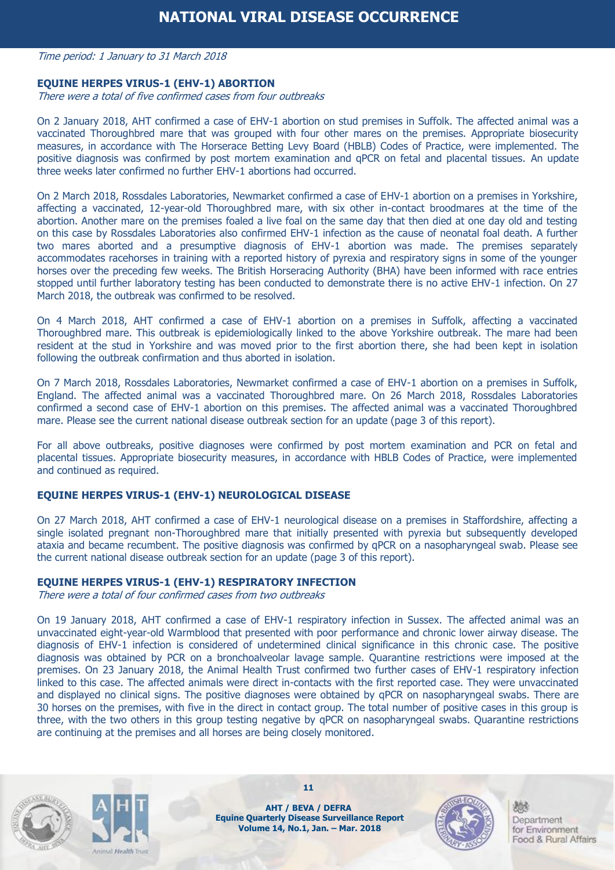#### Time period: 1 January to 31 March 2018

#### **EQUINE HERPES VIRUS-1 (EHV-1) ABORTION**

There were a total of five confirmed cases from four outbreaks

On 2 January 2018, AHT confirmed a case of EHV-1 abortion on stud premises in Suffolk. The affected animal was a vaccinated Thoroughbred mare that was grouped with four other mares on the premises. Appropriate biosecurity measures, in accordance with The Horserace Betting Levy Board (HBLB) Codes of Practice, were implemented. The positive diagnosis was confirmed by post mortem examination and qPCR on fetal and placental tissues. An update three weeks later confirmed no further EHV-1 abortions had occurred.

On 2 March 2018, Rossdales Laboratories, Newmarket confirmed a case of EHV-1 abortion on a premises in Yorkshire, affecting a vaccinated, 12-year-old Thoroughbred mare, with six other in-contact broodmares at the time of the abortion. Another mare on the premises foaled a live foal on the same day that then died at one day old and testing on this case by Rossdales Laboratories also confirmed EHV-1 infection as the cause of neonatal foal death. A further two mares aborted and a presumptive diagnosis of EHV-1 abortion was made. The premises separately accommodates racehorses in training with a reported history of pyrexia and respiratory signs in some of the younger horses over the preceding few weeks. The British Horseracing Authority (BHA) have been informed with race entries stopped until further laboratory testing has been conducted to demonstrate there is no active EHV-1 infection. On 27 March 2018, the outbreak was confirmed to be resolved.

On 4 March 2018, AHT confirmed a case of EHV-1 abortion on a premises in Suffolk, affecting a vaccinated Thoroughbred mare. This outbreak is epidemiologically linked to the above Yorkshire outbreak. The mare had been resident at the stud in Yorkshire and was moved prior to the first abortion there, she had been kept in isolation following the outbreak confirmation and thus aborted in isolation.

On 7 March 2018, Rossdales Laboratories, Newmarket confirmed a case of EHV-1 abortion on a premises in Suffolk, England. The affected animal was a vaccinated Thoroughbred mare. On 26 March 2018, Rossdales Laboratories confirmed a second case of EHV-1 abortion on this premises. The affected animal was a vaccinated Thoroughbred mare. Please see the current national disease outbreak section for an update (page 3 of this report).

For all above outbreaks, positive diagnoses were confirmed by post mortem examination and PCR on fetal and placental tissues. Appropriate biosecurity measures, in accordance with HBLB Codes of Practice, were implemented and continued as required.

#### **EQUINE HERPES VIRUS-1 (EHV-1) NEUROLOGICAL DISEASE**

On 27 March 2018, AHT confirmed a case of EHV-1 neurological disease on a premises in Staffordshire, affecting a single isolated pregnant non-Thoroughbred mare that initially presented with pyrexia but subsequently developed ataxia and became recumbent. The positive diagnosis was confirmed by qPCR on a nasopharyngeal swab. Please see the current national disease outbreak section for an update (page 3 of this report).

#### **EQUINE HERPES VIRUS-1 (EHV-1) RESPIRATORY INFECTION**

There were a total of four confirmed cases from two outbreaks

On 19 January 2018, AHT confirmed a case of EHV-1 respiratory infection in Sussex. The affected animal was an unvaccinated eight-year-old Warmblood that presented with poor performance and chronic lower airway disease. The diagnosis of EHV-1 infection is considered of undetermined clinical significance in this chronic case. The positive diagnosis was obtained by PCR on a bronchoalveolar lavage sample. Quarantine restrictions were imposed at the premises. On 23 January 2018, the Animal Health Trust confirmed two further cases of EHV-1 respiratory infection linked to this case. The affected animals were direct in-contacts with the first reported case. They were unvaccinated and displayed no clinical signs. The positive diagnoses were obtained by qPCR on nasopharyngeal swabs. There are 30 horses on the premises, with five in the direct in contact group. The total number of positive cases in this group is three, with the two others in this group testing negative by qPCR on nasopharyngeal swabs. Quarantine restrictions are continuing at the premises and all horses are being closely monitored.





**AHT / BEVA / DEFRA Equine Quarterly Disease Surveillance Report Volume 14, No.1, Jan. – Mar. 2018**

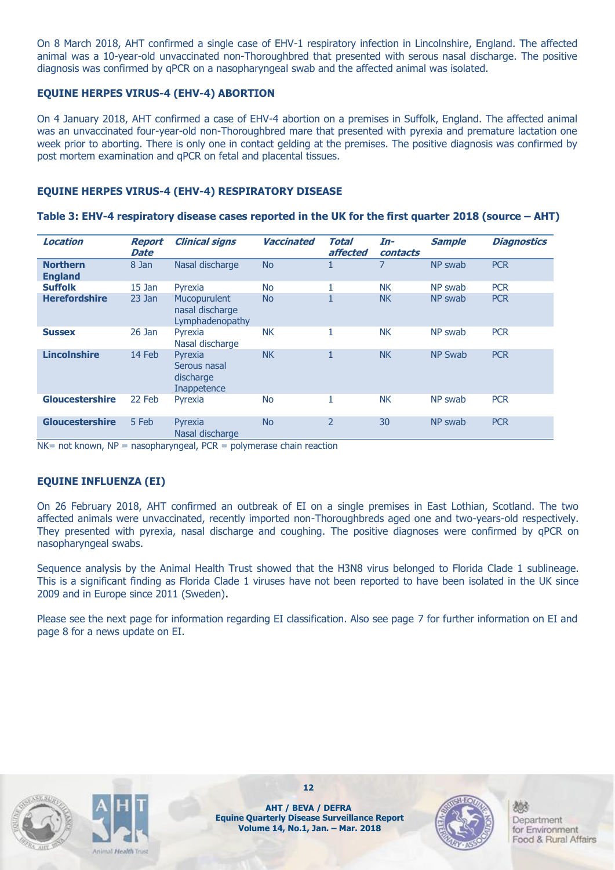On 8 March 2018, AHT confirmed a single case of EHV-1 respiratory infection in Lincolnshire, England. The affected animal was a 10-year-old unvaccinated non-Thoroughbred that presented with serous nasal discharge. The positive diagnosis was confirmed by qPCR on a nasopharyngeal swab and the affected animal was isolated.

#### **EQUINE HERPES VIRUS-4 (EHV-4) ABORTION**

On 4 January 2018, AHT confirmed a case of EHV-4 abortion on a premises in Suffolk, England. The affected animal was an unvaccinated four-year-old non-Thoroughbred mare that presented with pyrexia and premature lactation one week prior to aborting. There is only one in contact gelding at the premises. The positive diagnosis was confirmed by post mortem examination and qPCR on fetal and placental tissues.

#### **EQUINE HERPES VIRUS-4 (EHV-4) RESPIRATORY DISEASE**

#### **Table 3: EHV-4 respiratory disease cases reported in the UK for the first quarter 2018 (source – AHT)**

| Location                          | <b>Report</b><br>Date | <b>Clinical signs</b>                               | <b>Vaccinated</b> | Total<br>affected | In-<br>contacts | <b>Sample</b>  | <b>Diagnostics</b> |
|-----------------------------------|-----------------------|-----------------------------------------------------|-------------------|-------------------|-----------------|----------------|--------------------|
| <b>Northern</b><br><b>England</b> | 8 Jan                 | Nasal discharge                                     | <b>No</b>         | 1                 | 7               | NP swab        | <b>PCR</b>         |
| <b>Suffolk</b>                    | $15$ Jan              | Pyrexia                                             | <b>No</b>         |                   | <b>NK</b>       | NP swab        | <b>PCR</b>         |
| <b>Herefordshire</b>              | $23$ Jan              | Mucopurulent<br>nasal discharge<br>Lymphadenopathy  | <b>No</b>         | $\mathbf{1}$      | <b>NK</b>       | NP swab        | <b>PCR</b>         |
| <b>Sussex</b>                     | $26$ Jan              | Pyrexia<br>Nasal discharge                          | <b>NK</b>         |                   | <b>NK</b>       | NP swab        | <b>PCR</b>         |
| <b>Lincolnshire</b>               | 14 Feb                | Pyrexia<br>Serous nasal<br>discharge<br>Inappetence | <b>NK</b>         | $\mathbf{1}$      | <b>NK</b>       | <b>NP Swab</b> | <b>PCR</b>         |
| <b>Gloucestershire</b>            | 22 Feb                | Pyrexia                                             | <b>No</b>         |                   | <b>NK</b>       | NP swab        | <b>PCR</b>         |
| <b>Gloucestershire</b>            | 5 Feb                 | Pyrexia<br>Nasal discharge                          | <b>No</b>         | $\overline{2}$    | 30              | NP swab        | <b>PCR</b>         |

 $NK = not known$ ,  $NP = nasopharyngeal$ ,  $PCR = polymerase chain reaction$ 

#### **EQUINE INFLUENZA (EI)**

On 26 February 2018, AHT confirmed an outbreak of EI on a single premises in East Lothian, Scotland. The two affected animals were unvaccinated, recently imported non-Thoroughbreds aged one and two-years-old respectively. They presented with pyrexia, nasal discharge and coughing. The positive diagnoses were confirmed by qPCR on nasopharyngeal swabs.

Sequence analysis by the Animal Health Trust showed that the H3N8 virus belonged to Florida Clade 1 sublineage. This is a significant finding as Florida Clade 1 viruses have not been reported to have been isolated in the UK since 2009 and in Europe since 2011 (Sweden).

Please see the next page for information regarding EI classification. Also see page 7 for further information on EI and page 8 for a news update on EI.





**AHT / BEVA / DEFRA Equine Quarterly Disease Surveillance Report Volume 14, No.1, Jan. – Mar. 2018**

**12**

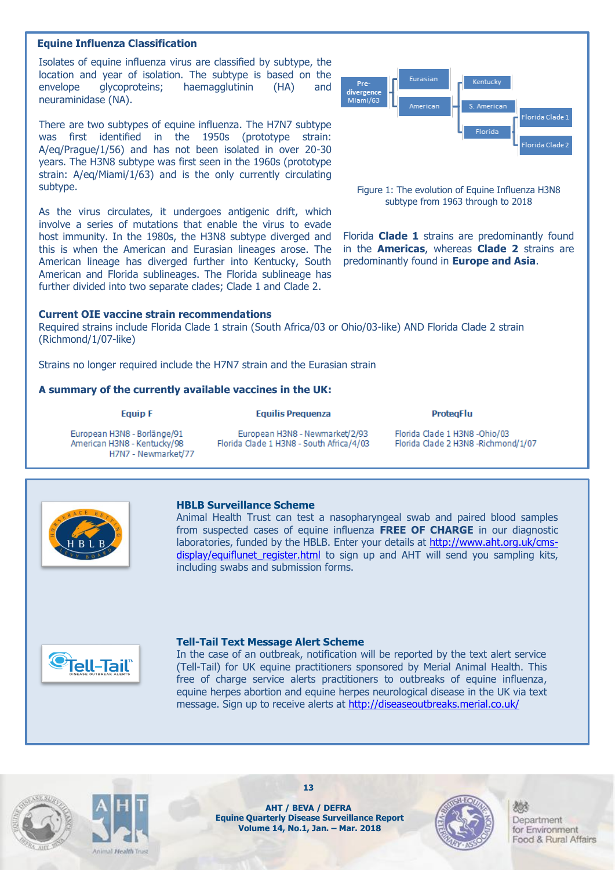#### **Equine Influenza Classification**

 Isolates of equine influenza virus are classified by subtype, the location and year of isolation. The subtype is based on the envelope glycoproteins; haemagglutinin (HA) and neuraminidase (NA).

 A/eq/Prague/1/56) and has not been isolated in over 20-30 There are two subtypes of equine influenza. The H7N7 subtype was first identified in the 1950s (prototype strain: years. The H3N8 subtype was first seen in the 1960s (prototype strain: A/eq/Miami/1/63) and is the only currently circulating subtype.

As the virus circulates, it undergoes antigenic drift, which involve a series of mutations that enable the virus to evade host immunity. In the 1980s, the H3N8 subtype diverged and this is when the American and Eurasian lineages arose. The American lineage has diverged further into Kentucky, South American and Florida sublineages. The Florida sublineage has further divided into two separate clades; Clade 1 and Clade 2.

#### **Current OIE vaccine strain recommendations**

Required strains include Florida Clade 1 strain (South Africa/03 or Ohio/03-like) AND Florida Clade 2 strain (Richmond/1/07-like)

Strains no longer required include the H7N7 strain and the Eurasian strain

#### **A summary of the currently available vaccines in the UK:**

#### **Equip F**

#### **Equilis Prequenza**

European H3N8 - Borlänge/91<br>American H3N8 - Kentucky/98 H7N7 - Newmarket/77

European H3N8 - Newmarket/2/93 Florida Clade 1 H3N8 - South Africa/4/03 Florida Clade 1 H3N8 -Ohio/03 Florida Clade 2 H3N8 -Richmond/1/07

**ProtegFlu** 



#### **HBLB Surveillance Scheme**

Animal Health Trust can test a nasopharyngeal swab and paired blood samples from suspected cases of equine influenza **FREE OF CHARGE** in our diagnostic laboratories, funded by the HBLB. Enter your details at [http://www.aht.org.uk/cms](http://www.aht.org.uk/cms-display/equiflunet_register.html)display/equiflunet register.html to sign up and AHT will send you sampling kits, including swabs and submission forms.



#### **Tell-Tail Text Message Alert Scheme**

In the case of an outbreak, notification will be reported by the text alert service (Tell-Tail) for UK equine practitioners sponsored by Merial Animal Health. This free of charge service alerts practitioners to outbreaks of equine influenza, equine herpes abortion and equine herpes neurological disease in the UK via text message. Sign up to receive alerts at<http://diseaseoutbreaks.merial.co.uk/>





**AHT / BEVA / DEFRA Equine Quarterly Disease Surveillance Report Volume 14, No.1, Jan. – Mar. 2018**

**13**



Department for Environment Food & Rural Affairs



Figure 1: The evolution of Equine Influenza H3N8 subtype from 1963 through to 2018

Florida **Clade 1** strains are predominantly found in the **Americas**, whereas **Clade 2** strains are predominantly found in **Europe and Asia**.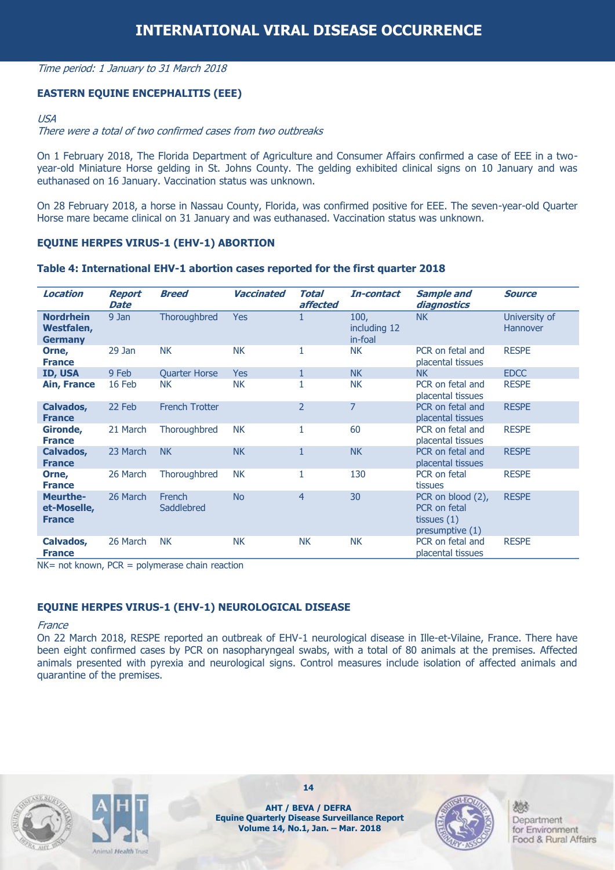#### Time period: 1 January to 31 March 2018

#### **EASTERN EQUINE ENCEPHALITIS (EEE)**

#### USA

#### There were a total of two confirmed cases from two outbreaks

On 1 February 2018, The Florida Department of Agriculture and Consumer Affairs confirmed a case of EEE in a twoyear-old Miniature Horse gelding in St. Johns County. The gelding exhibited clinical signs on 10 January and was euthanased on 16 January. Vaccination status was unknown.

On 28 February 2018, a horse in Nassau County, Florida, was confirmed positive for EEE. The seven-year-old Quarter Horse mare became clinical on 31 January and was euthanased. Vaccination status was unknown.

#### **EQUINE HERPES VIRUS-1 (EHV-1) ABORTION**

#### **Table 4: International EHV-1 abortion cases reported for the first quarter 2018**

| Location                                         | <b>Report</b><br><b>Date</b> | <b>Breed</b>          | <b>Vaccinated</b> | <b>Total</b><br>affected | In-contact                      | <b>Sample and</b><br>diagnostics                                        | <b>Source</b>                    |
|--------------------------------------------------|------------------------------|-----------------------|-------------------|--------------------------|---------------------------------|-------------------------------------------------------------------------|----------------------------------|
| <b>Nordrhein</b><br>Westfalen,<br><b>Germany</b> | 9 Jan                        | Thoroughbred          | <b>Yes</b>        | 1                        | 100,<br>including 12<br>in-foal | <b>NK</b>                                                               | University of<br><b>Hannover</b> |
| Orne,<br><b>France</b>                           | $29$ Jan                     | <b>NK</b>             | <b>NK</b>         | 1                        | <b>NK</b>                       | PCR on fetal and<br>placental tissues                                   | <b>RESPE</b>                     |
| ID, USA                                          | 9 Feb                        | <b>Quarter Horse</b>  | <b>Yes</b>        | $\mathbf{1}$             | <b>NK</b>                       | <b>NK</b>                                                               | <b>EDCC</b>                      |
| <b>Ain, France</b>                               | 16 Feb                       | <b>NK</b>             | <b>NK</b>         | 1                        | <b>NK</b>                       | PCR on fetal and<br>placental tissues                                   | <b>RESPE</b>                     |
| Calvados,<br><b>France</b>                       | 22 Feb                       | <b>French Trotter</b> |                   | $\overline{2}$           | $\overline{7}$                  | PCR on fetal and<br>placental tissues                                   | <b>RESPE</b>                     |
| Gironde,<br><b>France</b>                        | 21 March                     | Thoroughbred          | <b>NK</b>         | 1                        | 60                              | PCR on fetal and<br>placental tissues                                   | <b>RESPE</b>                     |
| Calvados,<br><b>France</b>                       | 23 March                     | <b>NK</b>             | <b>NK</b>         | $\mathbf{1}$             | <b>NK</b>                       | PCR on fetal and<br>placental tissues                                   | <b>RESPE</b>                     |
| Orne,<br><b>France</b>                           | 26 March                     | Thoroughbred          | <b>NK</b>         | 1                        | 130                             | PCR on fetal<br>tissues                                                 | <b>RESPE</b>                     |
| <b>Meurthe-</b><br>et-Moselle,<br><b>France</b>  | 26 March                     | French<br>Saddlebred  | <b>No</b>         | $\overline{4}$           | 30                              | PCR on blood (2),<br>PCR on fetal<br>tissues $(1)$<br>presumptive $(1)$ | <b>RESPE</b>                     |
| Calvados,<br><b>France</b>                       | 26 March                     | <b>NK</b>             | <b>NK</b>         | <b>NK</b>                | <b>NK</b>                       | PCR on fetal and<br>placental tissues                                   | <b>RESPE</b>                     |

 $NK = not known$ ,  $PCR = polymerase chain reaction$ 

#### **EQUINE HERPES VIRUS-1 (EHV-1) NEUROLOGICAL DISEASE**

#### **France**

On 22 March 2018, RESPE reported an outbreak of EHV-1 neurological disease in Ille-et-Vilaine, France. There have been eight confirmed cases by PCR on nasopharyngeal swabs, with a total of 80 animals at the premises. Affected animals presented with pyrexia and neurological signs. Control measures include isolation of affected animals and quarantine of the premises.





**14**

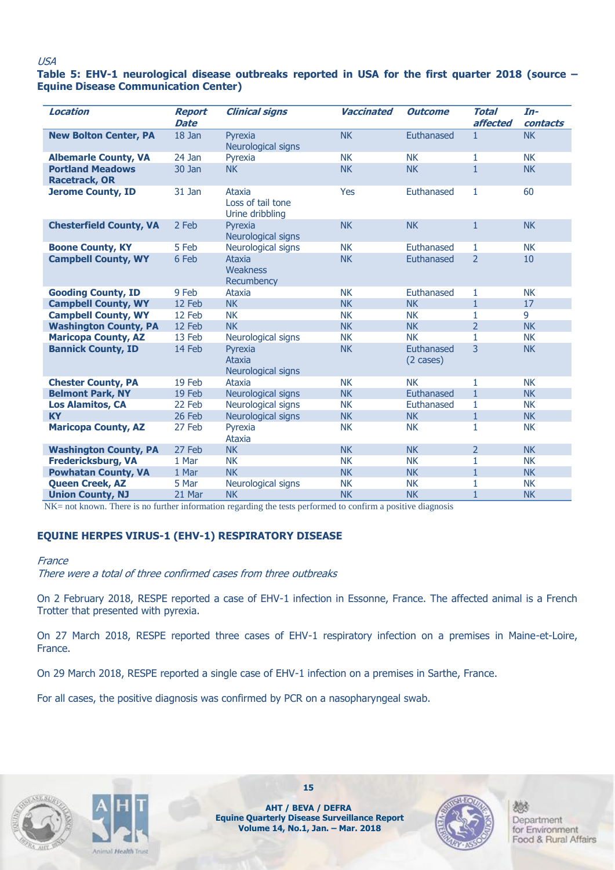#### USA

#### **Table 5: EHV-1 neurological disease outbreaks reported in USA for the first quarter 2018 (source – Equine Disease Communication Center)**

| <b>Location</b>                                 | <b>Report</b><br><b>Date</b> | <b>Clinical signs</b>                          | <b>Vaccinated</b> | <b>Outcome</b>           | <b>Total</b><br>affected | $In-$<br>contacts |
|-------------------------------------------------|------------------------------|------------------------------------------------|-------------------|--------------------------|--------------------------|-------------------|
| <b>New Bolton Center, PA</b>                    | 18 Jan                       | Pyrexia<br>Neurological signs                  | <b>NK</b>         | Euthanased               | $\mathbf{1}$             | <b>NK</b>         |
| <b>Albemarle County, VA</b>                     | 24 Jan                       | Pyrexia                                        | <b>NK</b>         | <b>NK</b>                | 1                        | <b>NK</b>         |
| <b>Portland Meadows</b><br><b>Racetrack, OR</b> | 30 Jan                       | <b>NK</b>                                      | <b>NK</b>         | <b>NK</b>                | $\mathbf{1}$             | <b>NK</b>         |
| <b>Jerome County, ID</b>                        | 31 Jan                       | Ataxia<br>Loss of tail tone<br>Urine dribbling | Yes               | Euthanased               | $\mathbf{1}$             | 60                |
| <b>Chesterfield County, VA</b>                  | 2 Feb                        | Pyrexia<br>Neurological signs                  | <b>NK</b>         | <b>NK</b>                | $\mathbf{1}$             | <b>NK</b>         |
| <b>Boone County, KY</b>                         | 5 Feb                        | Neurological signs                             | <b>NK</b>         | Euthanased               | 1                        | <b>NK</b>         |
| <b>Campbell County, WY</b>                      | 6 Feb                        | <b>Ataxia</b><br>Weakness<br>Recumbency        | <b>NK</b>         | Euthanased               | $\overline{2}$           | 10                |
| <b>Gooding County, ID</b>                       | 9 Feb                        | Ataxia                                         | <b>NK</b>         | Euthanased               | 1                        | <b>NK</b>         |
| <b>Campbell County, WY</b>                      | 12 Feb                       | <b>NK</b>                                      | <b>NK</b>         | <b>NK</b>                | $\mathbf{1}$             | 17                |
| <b>Campbell County, WY</b>                      | 12 Feb                       | <b>NK</b>                                      | <b>NK</b>         | <b>NK</b>                | 1                        | 9                 |
| <b>Washington County, PA</b>                    | 12 Feb                       | <b>NK</b>                                      | <b>NK</b>         | <b>NK</b>                | $\overline{2}$           | <b>NK</b>         |
| <b>Maricopa County, AZ</b>                      | 13 Feb                       | Neurological signs                             | <b>NK</b>         | <b>NK</b>                | 1                        | <b>NK</b>         |
| <b>Bannick County, ID</b>                       | 14 Feb                       | Pyrexia<br>Ataxia<br>Neurological signs        | <b>NK</b>         | Euthanased<br>$(2 \csc)$ | 3                        | <b>NK</b>         |
| <b>Chester County, PA</b>                       | 19 Feb                       | Ataxia                                         | <b>NK</b>         | <b>NK</b>                | $\mathbf{1}$             | <b>NK</b>         |
| <b>Belmont Park, NY</b>                         | 19 Feb                       | Neurological signs                             | <b>NK</b>         | Euthanased               | $\mathbf{1}$             | <b>NK</b>         |
| <b>Los Alamitos, CA</b>                         | 22 Feb                       | Neurological signs                             | <b>NK</b>         | Euthanased               | 1                        | <b>NK</b>         |
| <b>KY</b>                                       | 26 Feb                       | Neurological signs                             | <b>NK</b>         | <b>NK</b>                | $\mathbf{1}$             | <b>NK</b>         |
| <b>Maricopa County, AZ</b>                      | 27 Feb                       | Pyrexia<br>Ataxia                              | <b>NK</b>         | <b>NK</b>                | 1                        | <b>NK</b>         |
| <b>Washington County, PA</b>                    | 27 Feb                       | <b>NK</b>                                      | <b>NK</b>         | <b>NK</b>                | $\overline{2}$           | <b>NK</b>         |
| <b>Fredericksburg, VA</b>                       | 1 Mar                        | <b>NK</b>                                      | <b>NK</b>         | <b>NK</b>                | $\mathbf{1}$             | <b>NK</b>         |
| <b>Powhatan County, VA</b>                      | 1 Mar                        | <b>NK</b>                                      | <b>NK</b>         | <b>NK</b>                | $\mathbf{1}$             | <b>NK</b>         |
| <b>Queen Creek, AZ</b>                          | 5 Mar                        | Neurological signs                             | <b>NK</b>         | <b>NK</b>                | 1                        | <b>NK</b>         |
| <b>Union County, NJ</b>                         | 21 Mar                       | <b>NK</b>                                      | <b>NK</b>         | <b>NK</b>                | $\mathbf{1}$             | <b>NK</b>         |

NK= not known. There is no further information regarding the tests performed to confirm a positive diagnosis

#### **EQUINE HERPES VIRUS-1 (EHV-1) RESPIRATORY DISEASE**

#### France

There were a total of three confirmed cases from three outbreaks

On 2 February 2018, RESPE reported a case of EHV-1 infection in Essonne, France. The affected animal is a French Trotter that presented with pyrexia.

On 27 March 2018, RESPE reported three cases of EHV-1 respiratory infection on a premises in Maine-et-Loire, France.

On 29 March 2018, RESPE reported a single case of EHV-1 infection on a premises in Sarthe, France.

For all cases, the positive diagnosis was confirmed by PCR on a nasopharyngeal swab.





**AHT / BEVA / DEFRA Equine Quarterly Disease Surveillance Report Volume 14, No.1, Jan. – Mar. 2018**

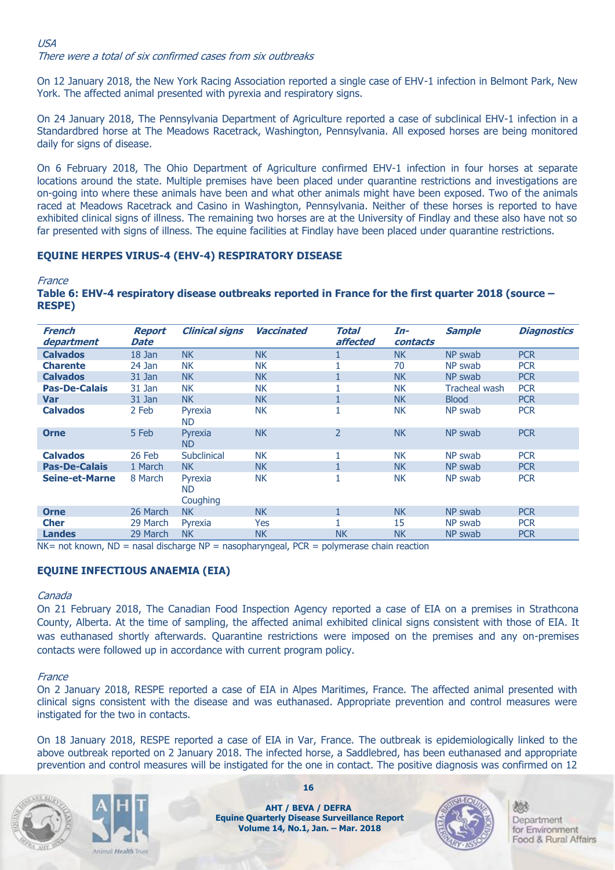#### USA There were a total of six confirmed cases from six outbreaks

On 12 January 2018, the New York Racing Association reported a single case of EHV-1 infection in Belmont Park, New York. The affected animal presented with pyrexia and respiratory signs.

On 24 January 2018, The Pennsylvania Department of Agriculture reported a case of subclinical EHV-1 infection in a Standardbred horse at The Meadows Racetrack, Washington, Pennsylvania. All exposed horses are being monitored daily for signs of disease.

On 6 February 2018, The Ohio Department of Agriculture confirmed EHV-1 infection in four horses at separate locations around the state. Multiple premises have been placed under quarantine restrictions and investigations are on-going into where these animals have been and what other animals might have been exposed. Two of the animals raced at Meadows Racetrack and Casino in Washington, Pennsylvania. Neither of these horses is reported to have exhibited clinical signs of illness. The remaining two horses are at the University of Findlay and these also have not so far presented with signs of illness. The equine facilities at Findlay have been placed under quarantine restrictions.

#### **EQUINE HERPES VIRUS-4 (EHV-4) RESPIRATORY DISEASE**

**France** 

#### **Table 6: EHV-4 respiratory disease outbreaks reported in France for the first quarter 2018 (source – RESPE)**

| French<br>department  | <b>Report</b><br><b>Date</b> | <b>Clinical signs</b>            | <b>Vaccinated</b> | Total<br>affected | In-<br>contacts | <b>Sample</b> | <b>Diagnostics</b> |
|-----------------------|------------------------------|----------------------------------|-------------------|-------------------|-----------------|---------------|--------------------|
| <b>Calvados</b>       | $18$ Jan                     | <b>NK</b>                        | <b>NK</b>         |                   | <b>NK</b>       | NP swab       | <b>PCR</b>         |
| <b>Charente</b>       | 24 Jan                       | <b>NK</b>                        | <b>NK</b>         |                   | 70              | NP swab       | <b>PCR</b>         |
| <b>Calvados</b>       | 31 Jan                       | <b>NK</b>                        | <b>NK</b>         |                   | <b>NK</b>       | NP swab       | <b>PCR</b>         |
| <b>Pas-De-Calais</b>  | 31 Jan                       | <b>NK</b>                        | <b>NK</b>         |                   | <b>NK</b>       | Tracheal wash | <b>PCR</b>         |
| <b>Var</b>            | 31 Jan                       | <b>NK</b>                        | <b>NK</b>         |                   | <b>NK</b>       | <b>Blood</b>  | <b>PCR</b>         |
| <b>Calvados</b>       | 2 Feb                        | Pyrexia<br><b>ND</b>             | <b>NK</b>         |                   | <b>NK</b>       | NP swab       | <b>PCR</b>         |
| <b>Orne</b>           | 5 Feb                        | Pyrexia<br><b>ND</b>             | <b>NK</b>         | $\overline{2}$    | <b>NK</b>       | NP swab       | <b>PCR</b>         |
| <b>Calvados</b>       | 26 Feb                       | Subclinical                      | <b>NK</b>         |                   | <b>NK</b>       | NP swab       | <b>PCR</b>         |
| <b>Pas-De-Calais</b>  | 1 March                      | <b>NK</b>                        | <b>NK</b>         |                   | <b>NK</b>       | NP swab       | <b>PCR</b>         |
| <b>Seine-et-Marne</b> | 8 March                      | Pyrexia<br><b>ND</b><br>Coughing | <b>NK</b>         |                   | <b>NK</b>       | NP swab       | <b>PCR</b>         |
| <b>Orne</b>           | 26 March                     | <b>NK</b>                        | <b>NK</b>         |                   | <b>NK</b>       | NP swab       | <b>PCR</b>         |
| <b>Cher</b>           | 29 March                     | Pyrexia                          | <b>Yes</b>        |                   | 15              | NP swab       | <b>PCR</b>         |
| <b>Landes</b>         | 29 March                     | <b>NK</b>                        | <b>NK</b>         | <b>NK</b>         | <b>NK</b>       | NP swab       | <b>PCR</b>         |

 $NK = not known$ ,  $ND =$  nasal discharge  $NP =$  nasopharyngeal,  $PCR = polymerase$  chain reaction

#### **EQUINE INFECTIOUS ANAEMIA (EIA)**

#### Canada

On 21 February 2018, The Canadian Food Inspection Agency reported a case of EIA on a premises in Strathcona County, Alberta. At the time of sampling, the affected animal exhibited clinical signs consistent with those of EIA. It was euthanased shortly afterwards. Quarantine restrictions were imposed on the premises and any on-premises contacts were followed up in accordance with current program policy.

#### **France**

On 2 January 2018, RESPE reported a case of EIA in Alpes Maritimes, France. The affected animal presented with clinical signs consistent with the disease and was euthanased. Appropriate prevention and control measures were instigated for the two in contacts.

On 18 January 2018, RESPE reported a case of EIA in Var, France. The outbreak is epidemiologically linked to the above outbreak reported on 2 January 2018. The infected horse, a Saddlebred, has been euthanased and appropriate prevention and control measures will be instigated for the one in contact. The positive diagnosis was confirmed on 12





**16**

**AHT / BEVA / DEFRA Equine Quarterly Disease Surveillance Report Volume 14, No.1, Jan. – Mar. 2018**

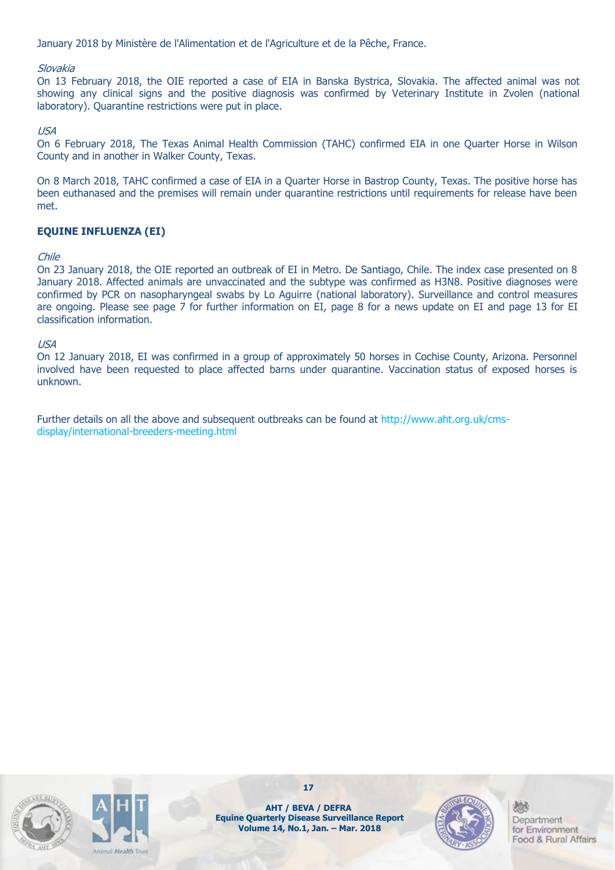January 2018 by Ministère de l'Alimentation et de l'Agriculture et de la Pêche, France.

#### Slovakia

On 13 February 2018, the OIE reported a case of EIA in Banska Bystrica, Slovakia. The affected animal was not showing any clinical signs and the positive diagnosis was confirmed by Veterinary Institute in Zvolen (national laboratory). Quarantine restrictions were put in place.

#### USA

On 6 February 2018, The Texas Animal Health Commission (TAHC) confirmed EIA in one Quarter Horse in Wilson County and in another in Walker County, Texas.

On 8 March 2018, TAHC confirmed a case of EIA in a Quarter Horse in Bastrop County, Texas. The positive horse has been euthanased and the premises will remain under quarantine restrictions until requirements for release have been met.

#### **EQUINE INFLUENZA (EI)**

#### Chile

On 23 January 2018, the OIE reported an outbreak of EI in Metro. De Santiago, Chile. The index case presented on 8 January 2018. Affected animals are unvaccinated and the subtype was confirmed as H3N8. Positive diagnoses were confirmed by PCR on nasopharyngeal swabs by Lo Aguirre (national laboratory). Surveillance and control measures are ongoing. Please see page 7 for further information on EI, page 8 for a news update on EI and page 13 for EI classification information.

#### USA

On 12 January 2018, EI was confirmed in a group of approximately 50 horses in Cochise County, Arizona. Personnel involved have been requested to place affected barns under quarantine. Vaccination status of exposed horses is unknown.

Further details on all the above and subsequent outbreaks can be found at http://www.aht.org.uk/cmsdisplay/international-breeders-meeting.html





**AHT / BEVA / DEFRA Equine Quarterly Disease Surveillance Report Volume 14, No.1, Jan. – Mar. 2018**

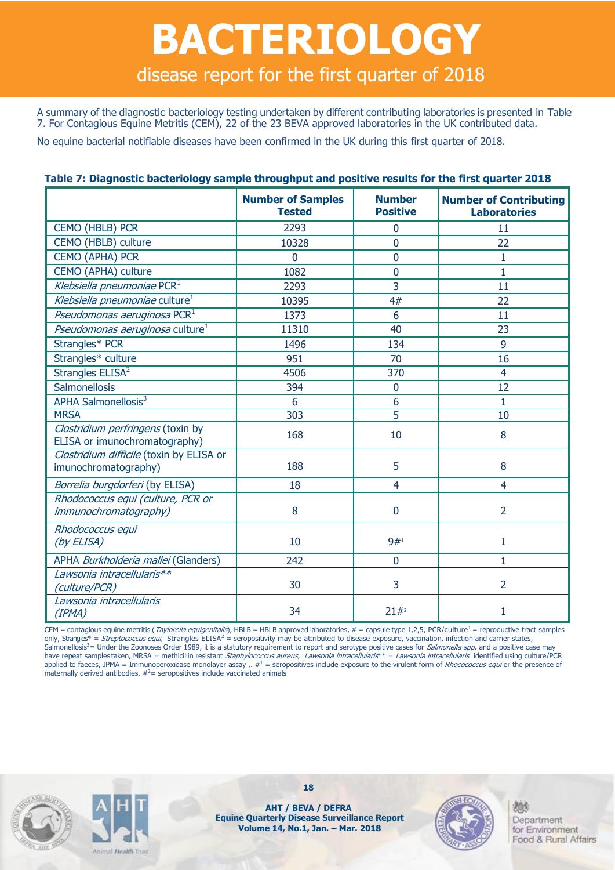# **BACTERIOLOGY** disease report for the first quarter of 2018

A summary of the diagnostic bacteriology testing undertaken by different contributing laboratories is presented in Table 7. For Contagious Equine Metritis (CEM), 22 of the 23 BEVA approved laboratories in the UK contributed data.

No equine bacterial notifiable diseases have been confirmed in the UK during this first quarter of 2018.

|                                                                    | <b>Number of Samples</b><br><b>Tested</b> | <b>Number</b><br><b>Positive</b> | <b>Number of Contributing</b><br><b>Laboratories</b> |
|--------------------------------------------------------------------|-------------------------------------------|----------------------------------|------------------------------------------------------|
| CEMO (HBLB) PCR                                                    | 2293                                      | $\mathbf{0}$                     | 11                                                   |
| CEMO (HBLB) culture                                                | 10328                                     | $\overline{0}$                   | 22                                                   |
| <b>CEMO (APHA) PCR</b>                                             | $\mathbf 0$                               | $\mathbf 0$                      | $\mathbf{1}$                                         |
| CEMO (APHA) culture                                                | 1082                                      | $\overline{0}$                   | $\mathbf{1}$                                         |
| Klebsiella pneumoniae PCR <sup>1</sup>                             | 2293                                      | 3                                | 11                                                   |
| Klebsiella pneumoniae culture <sup>1</sup>                         | 10395                                     | 4#                               | 22                                                   |
| Pseudomonas aeruginosa PCR <sup>1</sup>                            | 1373                                      | 6                                | 11                                                   |
| Pseudomonas aeruginosa culture <sup>1</sup>                        | 11310                                     | 40                               | 23                                                   |
| Strangles* PCR                                                     | 1496                                      | 134                              | 9                                                    |
| Strangles* culture                                                 | 951                                       | 70                               | 16                                                   |
| Strangles ELISA <sup>2</sup>                                       | 4506                                      | 370                              | $\overline{4}$                                       |
| Salmonellosis                                                      | 394                                       | $\overline{0}$                   | 12                                                   |
| APHA Salmonellosis <sup>3</sup>                                    | 6                                         | 6                                | 1                                                    |
| <b>MRSA</b>                                                        | 303                                       | $\overline{5}$                   | $\overline{10}$                                      |
| Clostridium perfringens (toxin by<br>ELISA or imunochromatography) | 168                                       | 10                               | 8                                                    |
| Clostridium difficile (toxin by ELISA or<br>imunochromatography)   | 188                                       | 5                                | 8                                                    |
| Borrelia burgdorferi (by ELISA)                                    | 18                                        | $\overline{4}$                   | $\overline{4}$                                       |
| Rhodococcus equi (culture, PCR or<br><i>immunochromatography</i> ) | 8                                         | $\mathbf 0$                      | $\overline{2}$                                       |
| Rhodococcus equi<br>(by ELISA)                                     | 10                                        | 9#1                              | $\mathbf{1}$                                         |
| APHA Burkholderia mallei (Glanders)                                | 242                                       | $\overline{0}$                   | $\mathbf{1}$                                         |
| Lawsonia intracellularis**<br>(culture/PCR)                        | 30                                        | 3                                | $\overline{2}$                                       |
| Lawsonia intracellularis<br>(IPMA)                                 | 34                                        | 21#2                             | 1                                                    |

CEM = contagious equine metritis (Taylorella equigenitalis), HBLB = HBLB approved laboratories,  $# =$  capsule type 1,2,5, PCR/culture<sup>1</sup> = reproductive tract samples only, Strangles\* = Streptococcus equi, Strangles ELISA<sup>2</sup> = seropositivity may be attributed to disease exposure, vaccination, infection and carrier states, Salmonellosis<sup>3</sup>= Under the Zoonoses Order 1989, it is a statutory requirement to report and serotype positive cases for *Salmonella spp*. and a positive case may have repeat samples taken, MRSA = methicillin resistant Staphylococcus aureus, Lawsonia intracellularis\*\* = Lawsonia intracellularis identified using culture/PCR applied to faeces, IPMA = Immunoperoxidase monolayer assay ,.  $\#^1$  = seropositives include exposure to the virulent form of *Rhocococcus equi* or the presence of maternally derived antibodies,  $#^2$  = seropositives include vaccinated animals





**18**

**AHT / BEVA / DEFRA Equine Quarterly Disease Surveillance Report Volume 14, No.1, Jan. – Mar. 2018**

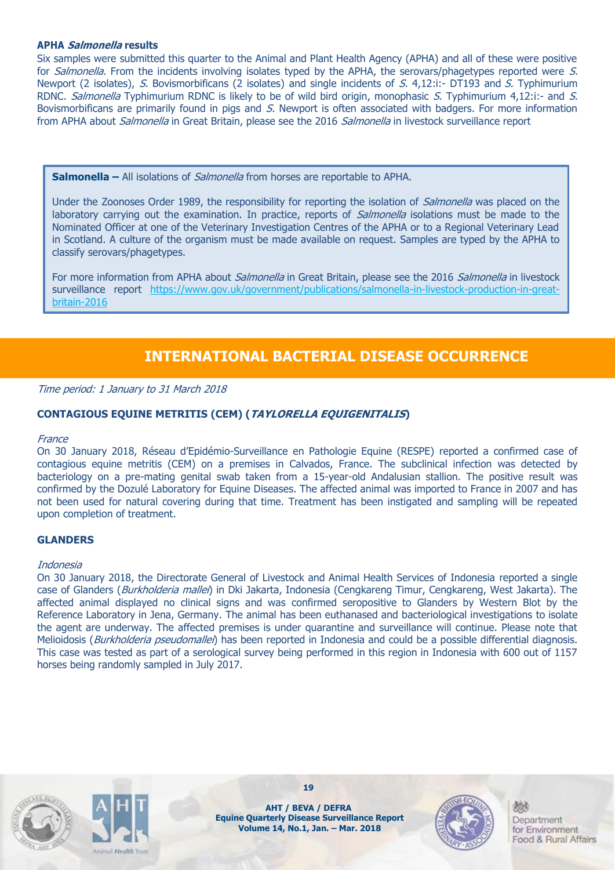#### **APHA Salmonella results**

Six samples were submitted this quarter to the Animal and Plant Health Agency (APHA) and all of these were positive for Salmonella. From the incidents involving isolates typed by the APHA, the serovars/phagetypes reported were S. Newport (2 isolates), S. Bovismorbificans (2 isolates) and single incidents of S. 4,12:i:- DT193 and S. Typhimurium RDNC. Salmonella Typhimurium RDNC is likely to be of wild bird origin, monophasic S. Typhimurium 4,12:i:- and S. Bovismorbificans are primarily found in pigs and S. Newport is often associated with badgers. For more information from APHA about *Salmonella* in Great Britain, please see the 2016 Salmonella in livestock surveillance report

**Salmonella –** All isolations of *Salmonella* from horses are reportable to APHA.

Under the Zoonoses Order 1989, the responsibility for reporting the isolation of *Salmonella* was placed on the laboratory carrying out the examination. In practice, reports of *Salmonella* isolations must be made to the Nominated Officer at one of the Veterinary Investigation Centres of the APHA or to a Regional Veterinary Lead in Scotland. A culture of the organism must be made available on request. Samples are typed by the APHA to classify serovars/phagetypes.

For more information from APHA about *Salmonella* in Great Britain, please see the 2016 Salmonella in livestock surveillance report [https://www.gov.uk/government/publications/salmonella-in-livestock-production-in-great](https://www.gov.uk/government/publications/salmonella-in-livestock-production-in-great-britain-2016)[britain-2016](https://www.gov.uk/government/publications/salmonella-in-livestock-production-in-great-britain-2016)

## **INTERNATIONAL BACTERIAL DISEASE OCCURRENCE**

Time period: 1 January to 31 March 2018

#### **CONTAGIOUS EQUINE METRITIS (CEM) (TAYLORELLA EQUIGENITALIS)**

#### **France**

On 30 January 2018, Réseau d'Epidémio-Surveillance en Pathologie Equine (RESPE) reported a confirmed case of contagious equine metritis (CEM) on a premises in Calvados, France. The subclinical infection was detected by bacteriology on a pre-mating genital swab taken from a 15-year-old Andalusian stallion. The positive result was confirmed by the Dozulé Laboratory for Equine Diseases. The affected animal was imported to France in 2007 and has not been used for natural covering during that time. Treatment has been instigated and sampling will be repeated upon completion of treatment.

#### **GLANDERS**

#### Indonesia

On 30 January 2018, the Directorate General of Livestock and Animal Health Services of Indonesia reported a single case of Glanders (Burkholderia mallei) in Dki Jakarta, Indonesia (Cengkareng Timur, Cengkareng, West Jakarta). The affected animal displayed no clinical signs and was confirmed seropositive to Glanders by Western Blot by the Reference Laboratory in Jena, Germany. The animal has been euthanased and bacteriological investigations to isolate the agent are underway. The affected premises is under quarantine and surveillance will continue. Please note that Melioidosis (Burkholderia pseudomallei) has been reported in Indonesia and could be a possible differential diagnosis. This case was tested as part of a serological survey being performed in this region in Indonesia with 600 out of 1157 horses being randomly sampled in July 2017.





**19**

**AHT / BEVA / DEFRA Equine Quarterly Disease Surveillance Report Volume 14, No.1, Jan. – Mar. 2018**

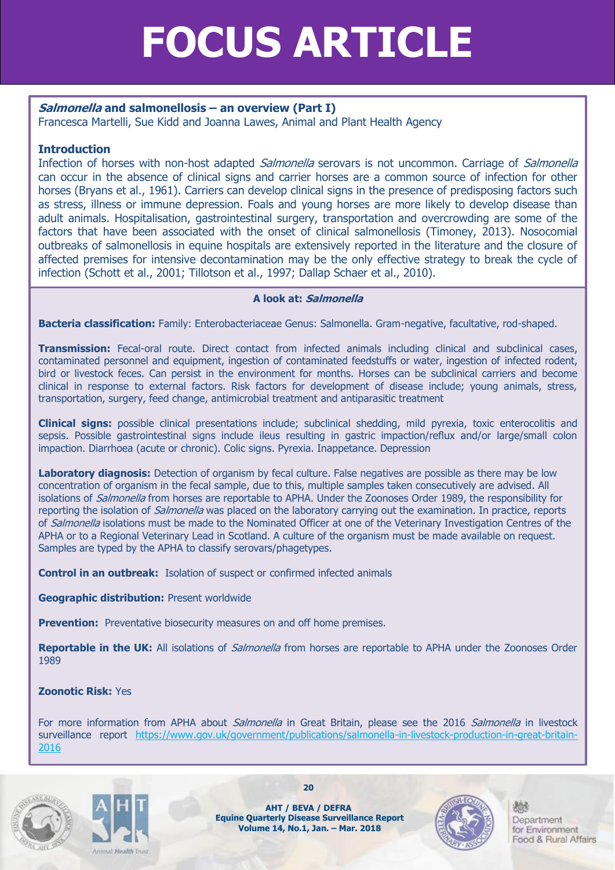# **FOCUS ARTICLE**

#### **Salmonella and salmonellosis – an overview (Part I)**

Francesca Martelli, Sue Kidd and Joanna Lawes, Animal and Plant Health Agency

#### **Introduction**

Infection of horses with non-host adapted *Salmonella* serovars is not uncommon. Carriage of *Salmonella* can occur in the absence of clinical signs and carrier horses are a common source of infection for other horses (Bryans et al., 1961). Carriers can develop clinical signs in the presence of predisposing factors such as stress, illness or immune depression. Foals and young horses are more likely to develop disease than adult animals. Hospitalisation, gastrointestinal surgery, transportation and overcrowding are some of the factors that have been associated with the onset of clinical salmonellosis (Timoney, 2013). Nosocomial outbreaks of salmonellosis in equine hospitals are extensively reported in the literature and the closure of affected premises for intensive decontamination may be the only effective strategy to break the cycle of infection (Schott et al., 2001; Tillotson et al., 1997; Dallap Schaer et al., 2010).

#### **A look at: Salmonella**

**Bacteria classification:** Family: Enterobacteriaceae Genus: Salmonella. Gram-negative, facultative, rod-shaped.

**Transmission:** Fecal-oral route. Direct contact from infected animals including clinical and subclinical cases, contaminated personnel and equipment, ingestion of contaminated feedstuffs or water, ingestion of infected rodent, bird or livestock feces. Can persist in the environment for months. Horses can be subclinical carriers and become clinical in response to external factors. Risk factors for development of disease include; young animals, stress, transportation, surgery, feed change, antimicrobial treatment and antiparasitic treatment

**Clinical signs:** possible clinical presentations include; subclinical shedding, mild pyrexia, toxic enterocolitis and sepsis. Possible gastrointestinal signs include ileus resulting in gastric impaction/reflux and/or large/small colon impaction. Diarrhoea (acute or chronic). Colic signs. Pyrexia. Inappetance. Depression

**Laboratory diagnosis:** Detection of organism by fecal culture. False negatives are possible as there may be low concentration of organism in the fecal sample, due to this, multiple samples taken consecutively are advised. All isolations of *Salmonella* from horses are reportable to APHA. Under the Zoonoses Order 1989, the responsibility for reporting the isolation of *Salmonella* was placed on the laboratory carrying out the examination. In practice, reports of Salmonella isolations must be made to the Nominated Officer at one of the Veterinary Investigation Centres of the APHA or to a Regional Veterinary Lead in Scotland. A culture of the organism must be made available on request. Samples are typed by the APHA to classify serovars/phagetypes.

**Control in an outbreak:** Isolation of suspect or confirmed infected animals

**Geographic distribution:** Present worldwide

**Prevention:** Preventative biosecurity measures on and off home premises.

**Reportable in the UK:** All isolations of Salmonella from horses are reportable to APHA under the Zoonoses Order 1989

#### **Zoonotic Risk:** Yes

For more information from APHA about *Salmonella* in Great Britain, please see the 2016 Salmonella in livestock surveillance report [https://www.gov.uk/government/publications/salmonella-in-livestock-production-in-great-britain-](https://www.gov.uk/government/publications/salmonella-in-livestock-production-in-great-britain-2016)[2016](https://www.gov.uk/government/publications/salmonella-in-livestock-production-in-great-britain-2016)





**AHT / BEVA / DEFRA Equine Quarterly Disease Surveillance Report Volume 14, No.1, Jan. – Mar. 2018**

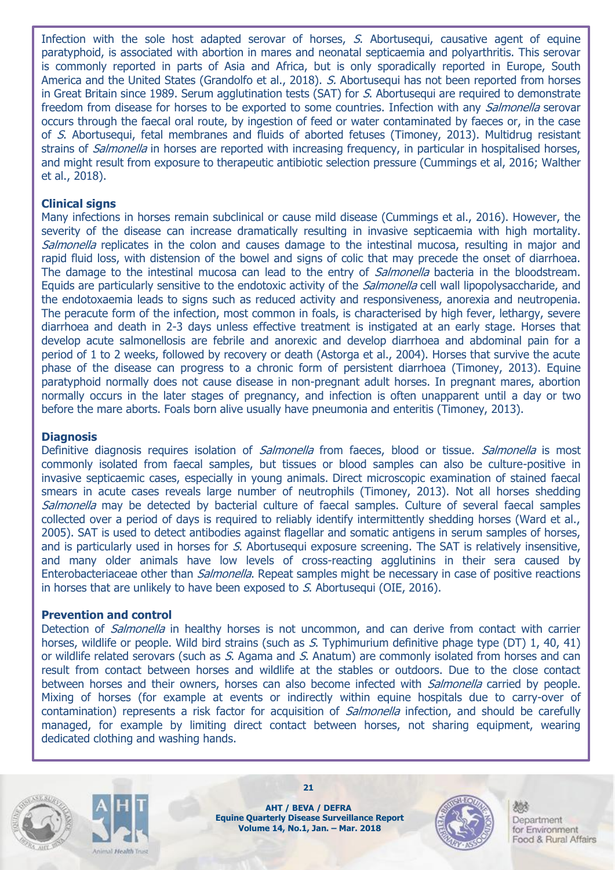Infection with the sole host adapted serovar of horses, S. Abortusequi, causative agent of equine paratyphoid, is associated with abortion in mares and neonatal septicaemia and polyarthritis. This serovar is commonly reported in parts of Asia and Africa, but is only sporadically reported in Europe, South America and the United States (Grandolfo et al., 2018). S. Abortusequi has not been reported from horses in Great Britain since 1989. Serum agglutination tests (SAT) for S. Abortusequi are required to demonstrate freedom from disease for horses to be exported to some countries. Infection with any *Salmonella* serovar occurs through the faecal oral route, by ingestion of feed or water contaminated by faeces or, in the case of S. Abortusequi, fetal membranes and fluids of aborted fetuses (Timoney, 2013). Multidrug resistant strains of *Salmonella* in horses are reported with increasing frequency, in particular in hospitalised horses, and might result from exposure to therapeutic antibiotic selection pressure (Cummings et al, 2016; Walther et al., 2018).

#### **Clinical signs**

Many infections in horses remain subclinical or cause mild disease (Cummings et al., 2016). However, the severity of the disease can increase dramatically resulting in invasive septicaemia with high mortality. Salmonella replicates in the colon and causes damage to the intestinal mucosa, resulting in major and rapid fluid loss, with distension of the bowel and signs of colic that may precede the onset of diarrhoea. The damage to the intestinal mucosa can lead to the entry of *Salmonella* bacteria in the bloodstream. Equids are particularly sensitive to the endotoxic activity of the *Salmonella* cell wall lipopolysaccharide, and the endotoxaemia leads to signs such as reduced activity and responsiveness, anorexia and neutropenia. The peracute form of the infection, most common in foals, is characterised by high fever, lethargy, severe diarrhoea and death in 2-3 days unless effective treatment is instigated at an early stage. Horses that develop acute salmonellosis are febrile and anorexic and develop diarrhoea and abdominal pain for a period of 1 to 2 weeks, followed by recovery or death (Astorga et al., 2004). Horses that survive the acute phase of the disease can progress to a chronic form of persistent diarrhoea (Timoney, 2013). Equine paratyphoid normally does not cause disease in non-pregnant adult horses. In pregnant mares, abortion normally occurs in the later stages of pregnancy, and infection is often unapparent until a day or two before the mare aborts. Foals born alive usually have pneumonia and enteritis (Timoney, 2013).

#### **Diagnosis**

Definitive diagnosis requires isolation of Salmonella from faeces, blood or tissue. Salmonella is most commonly isolated from faecal samples, but tissues or blood samples can also be culture-positive in invasive septicaemic cases, especially in young animals. Direct microscopic examination of stained faecal smears in acute cases reveals large number of neutrophils (Timoney, 2013). Not all horses shedding Salmonella may be detected by bacterial culture of faecal samples. Culture of several faecal samples collected over a period of days is required to reliably identify intermittently shedding horses (Ward et al., 2005). SAT is used to detect antibodies against flagellar and somatic antigens in serum samples of horses, and is particularly used in horses for S. Abortusequi exposure screening. The SAT is relatively insensitive, and many older animals have low levels of cross-reacting agglutinins in their sera caused by Enterobacteriaceae other than *Salmonella*. Repeat samples might be necessary in case of positive reactions in horses that are unlikely to have been exposed to S. Abortusequi (OIE, 2016).

#### **Prevention and control**

Detection of *Salmonella* in healthy horses is not uncommon, and can derive from contact with carrier horses, wildlife or people. Wild bird strains (such as S. Typhimurium definitive phage type (DT) 1, 40, 41) or wildlife related serovars (such as S. Agama and S. Anatum) are commonly isolated from horses and can result from contact between horses and wildlife at the stables or outdoors. Due to the close contact between horses and their owners, horses can also become infected with *Salmonella* carried by people. Mixing of horses (for example at events or indirectly within equine hospitals due to carry-over of contamination) represents a risk factor for acquisition of *Salmonella* infection, and should be carefully managed, for example by limiting direct contact between horses, not sharing equipment, wearing dedicated clothing and washing hands.





**AHT / BEVA / DEFRA Equine Quarterly Disease Surveillance Report Volume 14, No.1, Jan. – Mar. 2018**

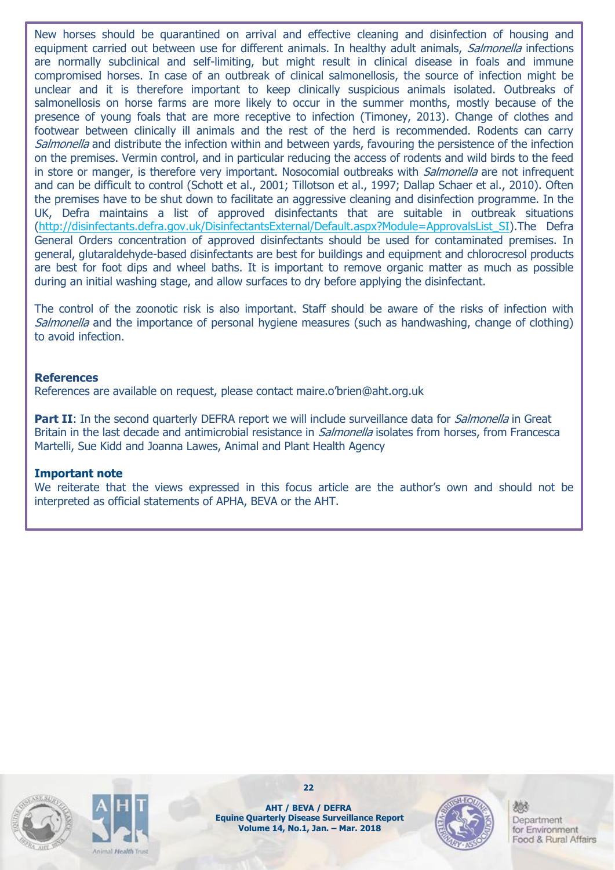New horses should be quarantined on arrival and effective cleaning and disinfection of housing and equipment carried out between use for different animals. In healthy adult animals, Salmonella infections are normally subclinical and self-limiting, but might result in clinical disease in foals and immune compromised horses. In case of an outbreak of clinical salmonellosis, the source of infection might be unclear and it is therefore important to keep clinically suspicious animals isolated. Outbreaks of salmonellosis on horse farms are more likely to occur in the summer months, mostly because of the presence of young foals that are more receptive to infection (Timoney, 2013). Change of clothes and footwear between clinically ill animals and the rest of the herd is recommended. Rodents can carry Salmonella and distribute the infection within and between vards, favouring the persistence of the infection on the premises. Vermin control, and in particular reducing the access of rodents and wild birds to the feed in store or manger, is therefore very important. Nosocomial outbreaks with *Salmonella* are not infrequent and can be difficult to control (Schott et al., 2001; Tillotson et al., 1997; Dallap Schaer et al., 2010). Often the premises have to be shut down to facilitate an aggressive cleaning and disinfection programme. In the UK, Defra maintains a list of approved disinfectants that are suitable in outbreak situations [\(http://disinfectants.defra.gov.uk/DisinfectantsExternal/Default.aspx?Module=ApprovalsList\\_SI\)](http://disinfectants.defra.gov.uk/DisinfectantsExternal/Default.aspx?Module=ApprovalsList_SI).The Defra General Orders concentration of approved disinfectants should be used for contaminated premises. In general, glutaraldehyde-based disinfectants are best for buildings and equipment and chlorocresol products are best for foot dips and wheel baths. It is important to remove organic matter as much as possible during an initial washing stage, and allow surfaces to dry before applying the disinfectant.

The control of the zoonotic risk is also important. Staff should be aware of the risks of infection with Salmonella and the importance of personal hygiene measures (such as handwashing, change of clothing) to avoid infection.

#### **References**

References are available on request, please contact maire.o'brien@aht.org.uk

**Part II**: In the second quarterly DEFRA report we will include surveillance data for *Salmonella* in Great Britain in the last decade and antimicrobial resistance in *Salmonella* isolates from horses, from Francesca Martelli, Sue Kidd and Joanna Lawes, Animal and Plant Health Agency

#### **Important note**

We reiterate that the views expressed in this focus article are the author's own and should not be interpreted as official statements of APHA, BEVA or the AHT.





**22**

**AHT / BEVA / DEFRA Equine Quarterly Disease Surveillance Report Volume 14, No.1, Jan. – Mar. 2018**

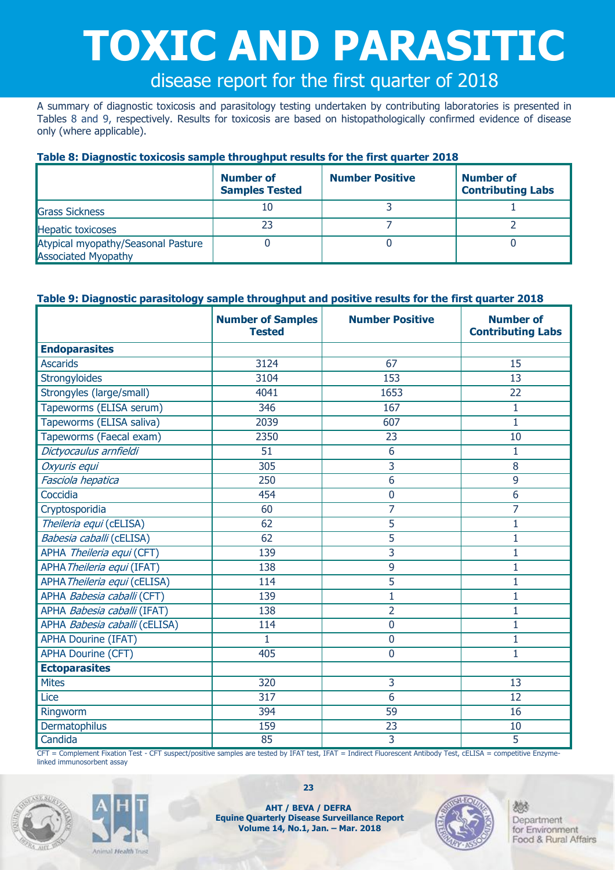# **TOXIC AND PARASITIC**

# disease report for the first quarter of 2018

A summary of diagnostic toxicosis and parasitology testing undertaken by contributing laboratories is presented in Tables 8 and 9, respectively. Results for toxicosis are based on histopathologically confirmed evidence of disease only (where applicable).

#### **Table 8: Diagnostic toxicosis sample throughput results for the first quarter 2018**

|                                                                  | <b>Number of</b><br><b>Samples Tested</b> | <b>Number Positive</b> | Number of<br><b>Contributing Labs</b> |
|------------------------------------------------------------------|-------------------------------------------|------------------------|---------------------------------------|
| <b>Grass Sickness</b>                                            | 10                                        |                        |                                       |
| <b>Hepatic toxicoses</b>                                         | 23                                        |                        |                                       |
| Atypical myopathy/Seasonal Pasture<br><b>Associated Myopathy</b> |                                           |                        |                                       |

#### **Table 9: Diagnostic parasitology sample throughput and positive results for the first quarter 2018**

|                               | <b>Number of Samples</b><br><b>Tested</b> | <b>Number Positive</b> | <b>Number of</b><br><b>Contributing Labs</b> |
|-------------------------------|-------------------------------------------|------------------------|----------------------------------------------|
| <b>Endoparasites</b>          |                                           |                        |                                              |
| <b>Ascarids</b>               | 3124                                      | 67                     | 15                                           |
| Strongyloides                 | 3104                                      | 153                    | 13                                           |
| Strongyles (large/small)      | 4041                                      | 1653                   | 22                                           |
| Tapeworms (ELISA serum)       | 346                                       | 167                    | 1                                            |
| Tapeworms (ELISA saliva)      | 2039                                      | 607                    | 1                                            |
| Tapeworms (Faecal exam)       | 2350                                      | 23                     | 10                                           |
| Dictyocaulus arnfieldi        | 51                                        | 6                      | $\mathbf{1}$                                 |
| Oxyuris equi                  | 305                                       | 3                      | 8                                            |
| Fasciola hepatica             | 250                                       | 6                      | 9                                            |
| Coccidia                      | 454                                       | $\mathbf 0$            | 6                                            |
| Cryptosporidia                | 60                                        | 7                      | 7                                            |
| Theileria equi (cELISA)       | 62                                        | 5                      | $\mathbf{1}$                                 |
| Babesia caballi (cELISA)      | 62                                        | 5                      | $\mathbf{1}$                                 |
| APHA Theileria equi (CFT)     | 139                                       | 3                      | 1                                            |
| APHA Theileria equi (IFAT)    | 138                                       | 9                      | $\mathbf{1}$                                 |
| APHA Theileria equi (cELISA)  | 114                                       | 5                      | 1                                            |
| APHA Babesia caballi (CFT)    | 139                                       | $\overline{1}$         | $\mathbf{1}$                                 |
| APHA Babesia caballi (IFAT)   | 138                                       | $\overline{2}$         | 1                                            |
| APHA Babesia caballi (cELISA) | 114                                       | $\overline{0}$         | $\overline{1}$                               |
| <b>APHA Dourine (IFAT)</b>    | 1                                         | $\mathbf 0$            | 1                                            |
| <b>APHA Dourine (CFT)</b>     | 405                                       | $\mathbf{0}$           | 1                                            |
| <b>Ectoparasites</b>          |                                           |                        |                                              |
| <b>Mites</b>                  | 320                                       | 3                      | 13                                           |
| Lice                          | 317                                       | 6                      | 12                                           |
| Ringworm                      | 394                                       | 59                     | 16                                           |
| Dermatophilus                 | 159                                       | 23                     | 10                                           |
| Candida                       | 85                                        | 3                      | 5                                            |

CFT = Complement Fixation Test - CFT suspect/positive samples are tested by IFAT test, IFAT = Indirect Fluorescent Antibody Test, cELISA = competitive Enzymelinked immunosorbent assay





**AHT / BEVA / DEFRA Equine Quarterly Disease Surveillance Report Volume 14, No.1, Jan. – Mar. 2018**

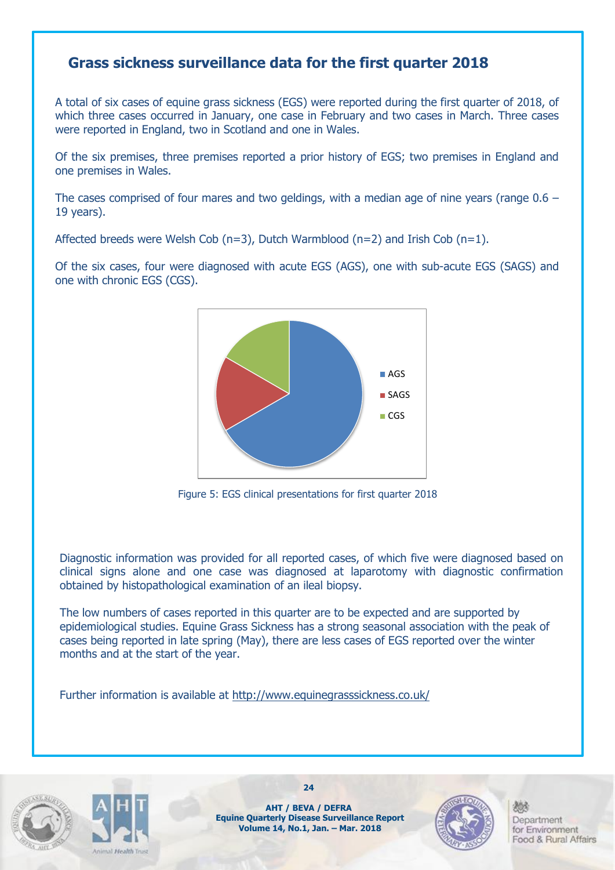### **Grass sickness surveillance data for the first quarter 2018**

A total of six cases of equine grass sickness (EGS) were reported during the first quarter of 2018, of which three cases occurred in January, one case in February and two cases in March. Three cases were reported in England, two in Scotland and one in Wales.

Of the six premises, three premises reported a prior history of EGS; two premises in England and one premises in Wales.

The cases comprised of four mares and two geldings, with a median age of nine years (range  $0.6 -$ 19 years).

Affected breeds were Welsh Cob (n=3), Dutch Warmblood (n=2) and Irish Cob (n=1).

Of the six cases, four were diagnosed with acute EGS (AGS), one with sub-acute EGS (SAGS) and one with chronic EGS (CGS).



Figure 5: EGS clinical presentations for first quarter 2018

Diagnostic information was provided for all reported cases, of which five were diagnosed based on clinical signs alone and one case was diagnosed at laparotomy with diagnostic confirmation obtained by histopathological examination of an ileal biopsy.

The low numbers of cases reported in this quarter are to be expected and are supported by epidemiological studies. Equine Grass Sickness has a strong seasonal association with the peak of cases being reported in late spring (May), there are less cases of EGS reported over the winter months and at the start of the year.

Further information is available at<http://www.equinegrasssickness.co.uk/>





**AHT / BEVA / DEFRA Equine Quarterly Disease Surveillance Report Volume 14, No.1, Jan. – Mar. 2018**

**24**

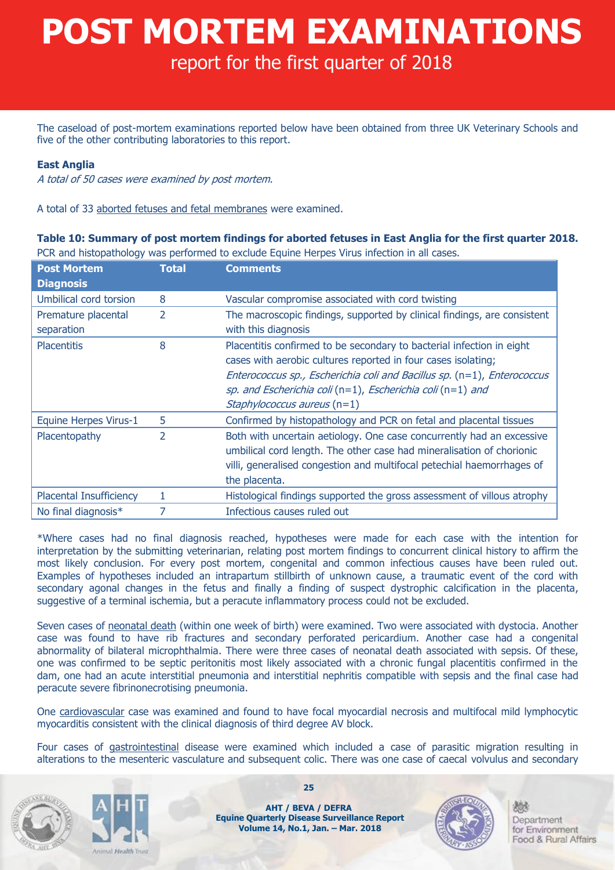# **POST MORTEM EXAMINATIONS**

## report for the first quarter of 2018

The caseload of post-mortem examinations reported below have been obtained from three UK Veterinary Schools and five of the other contributing laboratories to this report.

#### **East Anglia**

A total of 50 cases were examined by post mortem.

A total of 33 aborted fetuses and fetal membranes were examined.

**Table 10: Summary of post mortem findings for aborted fetuses in East Anglia for the first quarter 2018.**  PCR and histopathology was performed to exclude Equine Herpes Virus infection in all cases.

| <b>Post Mortem</b>      | <b>Total</b>             | <b>Comments</b>                                                          |
|-------------------------|--------------------------|--------------------------------------------------------------------------|
| <b>Diagnosis</b>        |                          |                                                                          |
| Umbilical cord torsion  | 8                        | Vascular compromise associated with cord twisting                        |
| Premature placental     | 2                        | The macroscopic findings, supported by clinical findings, are consistent |
| separation              |                          | with this diagnosis                                                      |
| <b>Placentitis</b>      | 8                        | Placentitis confirmed to be secondary to bacterial infection in eight    |
|                         |                          | cases with aerobic cultures reported in four cases isolating;            |
|                         |                          | Enterococcus sp., Escherichia coli and Bacillus sp. (n=1), Enterococcus  |
|                         |                          | sp. and Escherichia coli (n=1), Escherichia coli (n=1) and               |
|                         |                          | Staphylococcus aureus $(n=1)$                                            |
| Equine Herpes Virus-1   | 5                        | Confirmed by histopathology and PCR on fetal and placental tissues       |
| Placentopathy           | $\overline{\mathcal{L}}$ | Both with uncertain aetiology. One case concurrently had an excessive    |
|                         |                          | umbilical cord length. The other case had mineralisation of chorionic    |
|                         |                          | villi, generalised congestion and multifocal petechial haemorrhages of   |
|                         |                          | the placenta.                                                            |
| Placental Insufficiency | 1                        | Histological findings supported the gross assessment of villous atrophy  |
| No final diagnosis*     | 7                        | Infectious causes ruled out                                              |

\*Where cases had no final diagnosis reached, hypotheses were made for each case with the intention for interpretation by the submitting veterinarian, relating post mortem findings to concurrent clinical history to affirm the most likely conclusion. For every post mortem, congenital and common infectious causes have been ruled out. Examples of hypotheses included an intrapartum stillbirth of unknown cause, a traumatic event of the cord with secondary agonal changes in the fetus and finally a finding of suspect dystrophic calcification in the placenta, suggestive of a terminal ischemia, but a peracute inflammatory process could not be excluded.

Seven cases of neonatal death (within one week of birth) were examined. Two were associated with dystocia. Another case was found to have rib fractures and secondary perforated pericardium. Another case had a congenital abnormality of bilateral microphthalmia. There were three cases of neonatal death associated with sepsis. Of these, one was confirmed to be septic peritonitis most likely associated with a chronic fungal placentitis confirmed in the dam, one had an acute interstitial pneumonia and interstitial nephritis compatible with sepsis and the final case had peracute severe fibrinonecrotising pneumonia.

One cardiovascular case was examined and found to have focal myocardial necrosis and multifocal mild lymphocytic myocarditis consistent with the clinical diagnosis of third degree AV block.

Four cases of gastrointestinal disease were examined which included a case of parasitic migration resulting in alterations to the mesenteric vasculature and subsequent colic. There was one case of caecal volvulus and secondary



and Handth Trine

**25**

**AHT / BEVA / DEFRA Equine Quarterly Disease Surveillance Report Volume 14, No.1, Jan. – Mar. 2018**

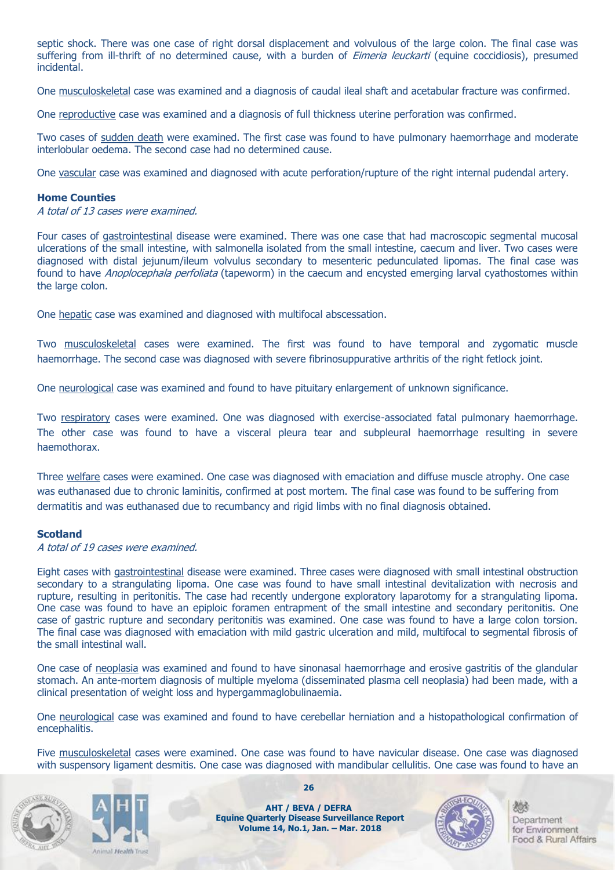septic shock. There was one case of right dorsal displacement and volvulous of the large colon. The final case was suffering from ill-thrift of no determined cause, with a burden of *Eimeria leuckarti* (equine coccidiosis), presumed incidental.

One musculoskeletal case was examined and a diagnosis of caudal ileal shaft and acetabular fracture was confirmed.

One reproductive case was examined and a diagnosis of full thickness uterine perforation was confirmed.

Two cases of sudden death were examined. The first case was found to have pulmonary haemorrhage and moderate interlobular oedema. The second case had no determined cause.

One vascular case was examined and diagnosed with acute perforation/rupture of the right internal pudendal artery.

#### **Home Counties**

A total of 13 cases were examined.

Four cases of gastrointestinal disease were examined. There was one case that had macroscopic segmental mucosal ulcerations of the small intestine, with salmonella isolated from the small intestine, caecum and liver. Two cases were diagnosed with distal jejunum/ileum volvulus secondary to mesenteric pedunculated lipomas. The final case was found to have *Anoplocephala perfoliata* (tapeworm) in the caecum and encysted emerging larval cyathostomes within the large colon.

One hepatic case was examined and diagnosed with multifocal abscessation.

Two musculoskeletal cases were examined. The first was found to have temporal and zygomatic muscle haemorrhage. The second case was diagnosed with severe fibrinosuppurative arthritis of the right fetlock joint.

One neurological case was examined and found to have pituitary enlargement of unknown significance.

Two respiratory cases were examined. One was diagnosed with exercise-associated fatal pulmonary haemorrhage. The other case was found to have a visceral pleura tear and subpleural haemorrhage resulting in severe haemothorax.

Three welfare cases were examined. One case was diagnosed with emaciation and diffuse muscle atrophy. One case was euthanased due to chronic laminitis, confirmed at post mortem. The final case was found to be suffering from dermatitis and was euthanased due to recumbancy and rigid limbs with no final diagnosis obtained.

#### **Scotland**

A total of 19 cases were examined.

Eight cases with gastrointestinal disease were examined. Three cases were diagnosed with small intestinal obstruction secondary to a strangulating lipoma. One case was found to have small intestinal devitalization with necrosis and rupture, resulting in peritonitis. The case had recently undergone exploratory laparotomy for a strangulating lipoma. One case was found to have an epiploic foramen entrapment of the small intestine and secondary peritonitis. One case of gastric rupture and secondary peritonitis was examined. One case was found to have a large colon torsion. The final case was diagnosed with emaciation with mild gastric ulceration and mild, multifocal to segmental fibrosis of the small intestinal wall.

One case of neoplasia was examined and found to have sinonasal haemorrhage and erosive gastritis of the glandular stomach. An ante-mortem diagnosis of multiple myeloma (disseminated plasma cell neoplasia) had been made, with a clinical presentation of weight loss and hypergammaglobulinaemia.

One neurological case was examined and found to have cerebellar herniation and a histopathological confirmation of encephalitis.

Five musculoskeletal cases were examined. One case was found to have navicular disease. One case was diagnosed with suspensory ligament desmitis. One case was diagnosed with mandibular cellulitis. One case was found to have an





**26**

**AHT / BEVA / DEFRA Equine Quarterly Disease Surveillance Report Volume 14, No.1, Jan. – Mar. 2018**

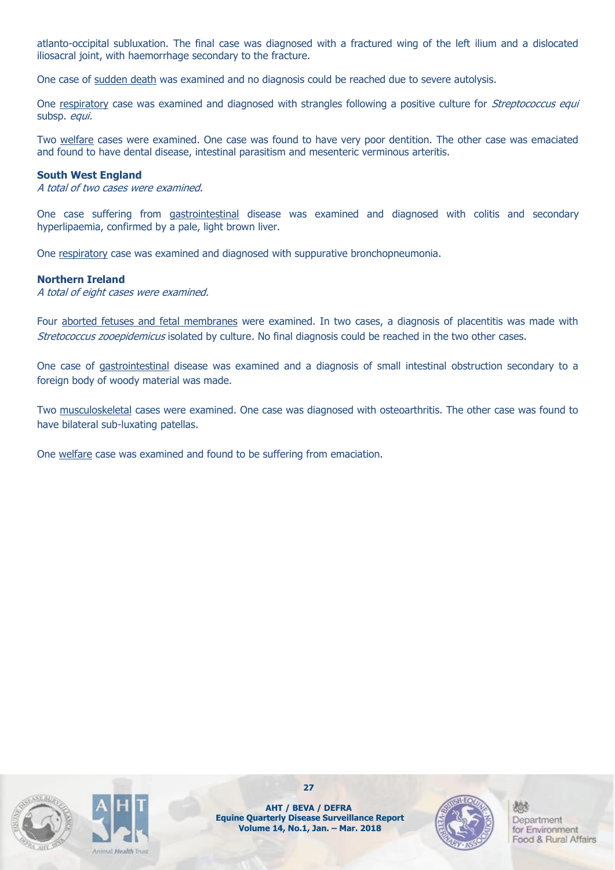atlanto-occipital subluxation. The final case was diagnosed with a fractured wing of the left ilium and a dislocated iliosacral joint, with haemorrhage secondary to the fracture.

One case of sudden death was examined and no diagnosis could be reached due to severe autolysis.

One respiratory case was examined and diagnosed with strangles following a positive culture for Streptococcus equi subsp. equi.

Two welfare cases were examined. One case was found to have very poor dentition. The other case was emaciated and found to have dental disease, intestinal parasitism and mesenteric verminous arteritis.

#### **South West England**

A total of two cases were examined.

One case suffering from gastrointestinal disease was examined and diagnosed with colitis and secondary hyperlipaemia, confirmed by a pale, light brown liver.

One respiratory case was examined and diagnosed with suppurative bronchopneumonia.

#### **Northern Ireland**

A total of eight cases were examined.

Four aborted fetuses and fetal membranes were examined. In two cases, a diagnosis of placentitis was made with Stretococcus zooepidemicus isolated by culture. No final diagnosis could be reached in the two other cases.

One case of gastrointestinal disease was examined and a diagnosis of small intestinal obstruction secondary to a foreign body of woody material was made.

Two musculoskeletal cases were examined. One case was diagnosed with osteoarthritis. The other case was found to have bilateral sub-luxating patellas.

One welfare case was examined and found to be suffering from emaciation.





**27**